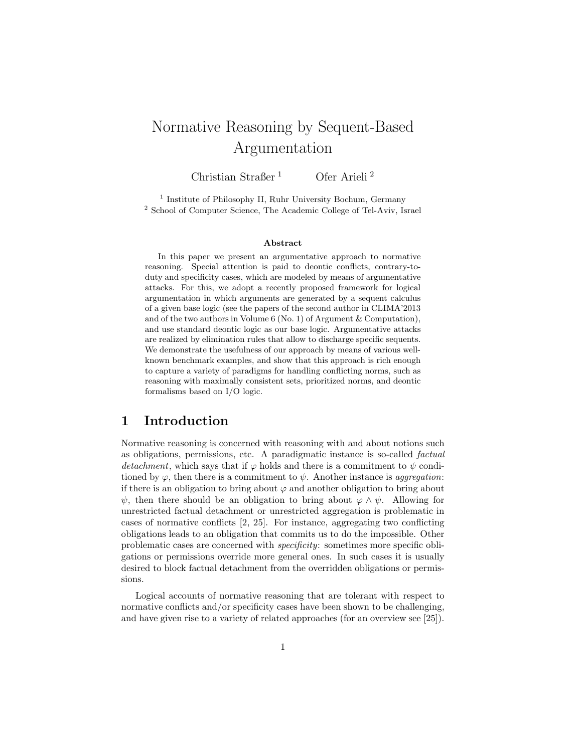# Normative Reasoning by Sequent-Based Argumentation

Christian Straßer <sup>1</sup> Ofer Arieli<sup>2</sup>

<sup>1</sup> Institute of Philosophy II, Ruhr University Bochum, Germany <sup>2</sup> School of Computer Science, The Academic College of Tel-Aviv, Israel

#### Abstract

In this paper we present an argumentative approach to normative reasoning. Special attention is paid to deontic conflicts, contrary-toduty and specificity cases, which are modeled by means of argumentative attacks. For this, we adopt a recently proposed framework for logical argumentation in which arguments are generated by a sequent calculus of a given base logic (see the papers of the second author in CLIMA'2013 and of the two authors in Volume 6 (No. 1) of Argument & Computation), and use standard deontic logic as our base logic. Argumentative attacks are realized by elimination rules that allow to discharge specific sequents. We demonstrate the usefulness of our approach by means of various wellknown benchmark examples, and show that this approach is rich enough to capture a variety of paradigms for handling conflicting norms, such as reasoning with maximally consistent sets, prioritized norms, and deontic formalisms based on I/O logic.

## 1 Introduction

Normative reasoning is concerned with reasoning with and about notions such as obligations, permissions, etc. A paradigmatic instance is so-called factual detachment, which says that if  $\varphi$  holds and there is a commitment to  $\psi$  conditioned by  $\varphi$ , then there is a commitment to  $\psi$ . Another instance is *aggregation*: if there is an obligation to bring about  $\varphi$  and another obligation to bring about  $\psi$ , then there should be an obligation to bring about  $\varphi \wedge \psi$ . Allowing for unrestricted factual detachment or unrestricted aggregation is problematic in cases of normative conflicts [2, 25]. For instance, aggregating two conflicting obligations leads to an obligation that commits us to do the impossible. Other problematic cases are concerned with specificity: sometimes more specific obligations or permissions override more general ones. In such cases it is usually desired to block factual detachment from the overridden obligations or permissions.

Logical accounts of normative reasoning that are tolerant with respect to normative conflicts and/or specificity cases have been shown to be challenging, and have given rise to a variety of related approaches (for an overview see [25]).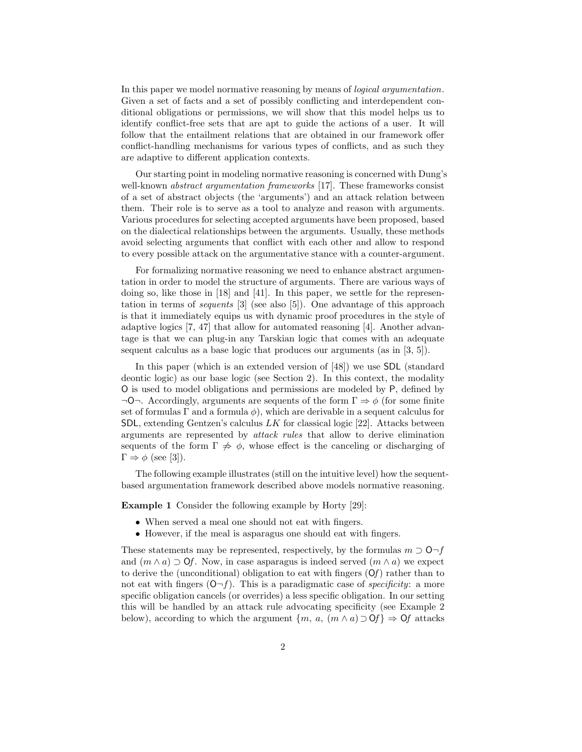In this paper we model normative reasoning by means of logical argumentation. Given a set of facts and a set of possibly conflicting and interdependent conditional obligations or permissions, we will show that this model helps us to identify conflict-free sets that are apt to guide the actions of a user. It will follow that the entailment relations that are obtained in our framework offer conflict-handling mechanisms for various types of conflicts, and as such they are adaptive to different application contexts.

Our starting point in modeling normative reasoning is concerned with Dung's well-known *abstract argumentation frameworks* [17]. These frameworks consist of a set of abstract objects (the 'arguments') and an attack relation between them. Their role is to serve as a tool to analyze and reason with arguments. Various procedures for selecting accepted arguments have been proposed, based on the dialectical relationships between the arguments. Usually, these methods avoid selecting arguments that conflict with each other and allow to respond to every possible attack on the argumentative stance with a counter-argument.

For formalizing normative reasoning we need to enhance abstract argumentation in order to model the structure of arguments. There are various ways of doing so, like those in [18] and [41]. In this paper, we settle for the representation in terms of sequents [3] (see also [5]). One advantage of this approach is that it immediately equips us with dynamic proof procedures in the style of adaptive logics [7, 47] that allow for automated reasoning [4]. Another advantage is that we can plug-in any Tarskian logic that comes with an adequate sequent calculus as a base logic that produces our arguments (as in [3, 5]).

In this paper (which is an extended version of [48]) we use SDL (standard deontic logic) as our base logic (see Section 2). In this context, the modality O is used to model obligations and permissions are modeled by P, defined by  $\neg$ O $\neg$ . Accordingly, arguments are sequents of the form  $\Gamma \Rightarrow \phi$  (for some finite set of formulas  $\Gamma$  and a formula  $\phi$ ), which are derivable in a sequent calculus for SDL, extending Gentzen's calculus  $LK$  for classical logic [22]. Attacks between arguments are represented by attack rules that allow to derive elimination sequents of the form  $\Gamma \not\Rightarrow \phi$ , whose effect is the canceling or discharging of  $\Gamma \Rightarrow \phi$  (see [3]).

The following example illustrates (still on the intuitive level) how the sequentbased argumentation framework described above models normative reasoning.

Example 1 Consider the following example by Horty [29]:

- When served a meal one should not eat with fingers.
- However, if the meal is asparagus one should eat with fingers.

These statements may be represented, respectively, by the formulas  $m \supset O \neg f$ and  $(m \wedge a) \supset$  Of. Now, in case asparagus is indeed served  $(m \wedge a)$  we expect to derive the (unconditional) obligation to eat with fingers  $(\hat{O}f)$  rather than to not eat with fingers  $(0-f)$ . This is a paradigmatic case of *specificity*: a more specific obligation cancels (or overrides) a less specific obligation. In our setting this will be handled by an attack rule advocating specificity (see Example 2 below), according to which the argument  $\{m, a, (m \wedge a) \supset \mathbf{0}\}\Rightarrow \mathbf{0}$  attacks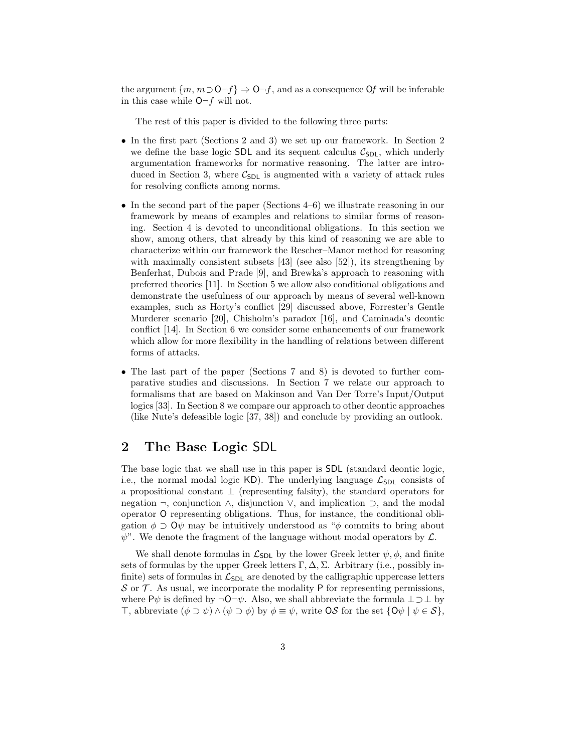the argument  $\{m, m \supset O \neg f\} \Rightarrow O \neg f$ , and as a consequence Of will be inferable in this case while  $O-f$  will not.

The rest of this paper is divided to the following three parts:

- In the first part (Sections 2 and 3) we set up our framework. In Section 2 we define the base logic SDL and its sequent calculus  $C_{SDL}$ , which underly argumentation frameworks for normative reasoning. The latter are introduced in Section 3, where  $C_{SDL}$  is augmented with a variety of attack rules for resolving conflicts among norms.
- In the second part of the paper (Sections 4–6) we illustrate reasoning in our framework by means of examples and relations to similar forms of reasoning. Section 4 is devoted to unconditional obligations. In this section we show, among others, that already by this kind of reasoning we are able to characterize within our framework the Rescher–Manor method for reasoning with maximally consistent subsets [43] (see also [52]), its strengthening by Benferhat, Dubois and Prade [9], and Brewka's approach to reasoning with preferred theories [11]. In Section 5 we allow also conditional obligations and demonstrate the usefulness of our approach by means of several well-known examples, such as Horty's conflict [29] discussed above, Forrester's Gentle Murderer scenario [20], Chisholm's paradox [16], and Caminada's deontic conflict [14]. In Section 6 we consider some enhancements of our framework which allow for more flexibility in the handling of relations between different forms of attacks.
- The last part of the paper (Sections 7 and 8) is devoted to further comparative studies and discussions. In Section 7 we relate our approach to formalisms that are based on Makinson and Van Der Torre's Input/Output logics [33]. In Section 8 we compare our approach to other deontic approaches (like Nute's defeasible logic [37, 38]) and conclude by providing an outlook.

#### 2 The Base Logic SDL

The base logic that we shall use in this paper is SDL (standard deontic logic, i.e., the normal modal logic KD). The underlying language  $\mathcal{L}_{SDL}$  consists of a propositional constant  $\perp$  (representing falsity), the standard operators for negation ¬, conjunction ∧, disjunction ∨, and implication ⊃, and the modal operator O representing obligations. Thus, for instance, the conditional obligation  $\phi \supset Q\psi$  may be intuitively understood as " $\phi$  commits to bring about  $\psi$ ". We denote the fragment of the language without modal operators by  $\mathcal{L}$ .

We shall denote formulas in  $\mathcal{L}_{SDL}$  by the lower Greek letter  $\psi, \phi$ , and finite sets of formulas by the upper Greek letters  $\Gamma, \Delta, \Sigma$ . Arbitrary (i.e., possibly infinite) sets of formulas in  $\mathcal{L}_{SDL}$  are denoted by the calligraphic uppercase letters  $\mathcal S$  or  $\mathcal T$ . As usual, we incorporate the modality P for representing permissions, where P $\psi$  is defined by  $\neg$ O $\neg \psi$ . Also, we shall abbreviate the formula  $\bot \supset \bot$  by ⊤, abbreviate (φ ⊃ ψ) ∧ (ψ ⊃ φ) by φ ≡ ψ, write OS for the set {Oψ | ψ ∈ S},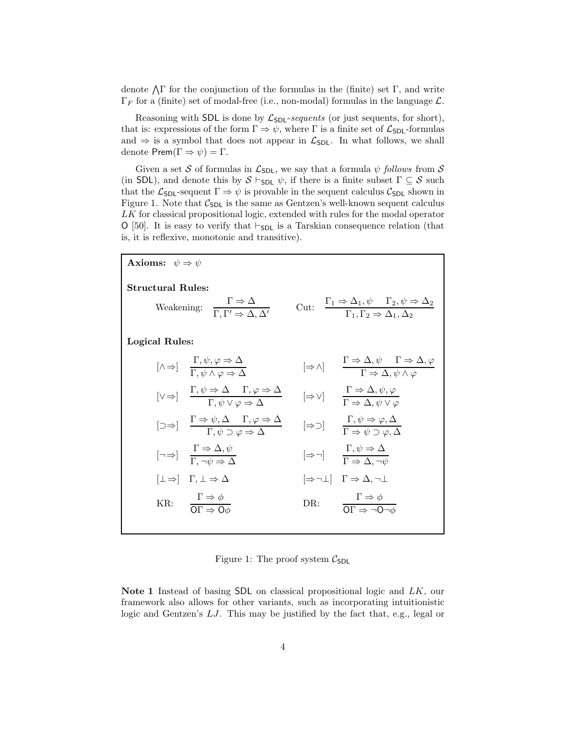denote  $\Lambda \Gamma$  for the conjunction of the formulas in the (finite) set  $\Gamma$ , and write  $\Gamma_F$  for a (finite) set of modal-free (i.e., non-modal) formulas in the language  $\mathcal{L}$ .

Reasoning with SDL is done by  $\mathcal{L}_{SDL}$ -sequents (or just sequents, for short), that is: expressions of the form  $\Gamma \Rightarrow \psi$ , where  $\Gamma$  is a finite set of  $\mathcal{L}_{\text{SDL}}$ -formulas and  $\Rightarrow$  is a symbol that does not appear in  $\mathcal{L}_{SDL}$ . In what follows, we shall denote  $\mathsf{Prem}(\Gamma \Rightarrow \psi) = \Gamma$ .

Given a set S of formulas in  $\mathcal{L}_{SDL}$ , we say that a formula  $\psi$  follows from S (in SDL), and denote this by  $S \vdash_{SDL} \psi$ , if there is a finite subset  $\Gamma \subseteq S$  such that the  $\mathcal{L}_{SDL}$ -sequent  $\Gamma \Rightarrow \psi$  is provable in the sequent calculus  $\mathcal{C}_{SDL}$  shown in Figure 1. Note that  $C_{\text{SDL}}$  is the same as Gentzen's well-known sequent calculus LK for classical propositional logic, extended with rules for the modal operator O [50]. It is easy to verify that ⊢<sub>SDL</sub> is a Tarskian consequence relation (that is, it is reflexive, monotonic and transitive).

| <b>Axioms:</b> $\psi \Rightarrow \psi$ |                                                                                                                                                                 |  |                                                                                                                                                              |
|----------------------------------------|-----------------------------------------------------------------------------------------------------------------------------------------------------------------|--|--------------------------------------------------------------------------------------------------------------------------------------------------------------|
| <b>Structural Rules:</b>               | Weakening: $\frac{\Gamma \Rightarrow \Delta}{\Gamma \Gamma' \Rightarrow \Delta \Delta'}$                                                                        |  | Cut: $\frac{\Gamma_1 \Rightarrow \Delta_1, \psi \quad \Gamma_2, \psi \Rightarrow \Delta_2}{\Gamma_1, \Gamma_2 \Rightarrow \Delta_1, \Delta_2}$               |
| Logical Rules:                         |                                                                                                                                                                 |  |                                                                                                                                                              |
|                                        | $[\wedge \Rightarrow] \quad \frac{1}{\Gamma} \cdot \psi, \varphi \Rightarrow \Delta$                                                                            |  | $[\Rightarrow \land] \qquad \frac{\Gamma \Rightarrow \Delta, \psi \qquad \Gamma \Rightarrow \Delta, \varphi}{\Gamma \Rightarrow \Delta, \psi \land \varphi}$ |
|                                        | $[\vee \Rightarrow] \quad \frac{\Gamma, \psi \Rightarrow \Delta \quad \Gamma, \varphi \Rightarrow \Delta}{\Gamma, \psi \vee \varphi \Rightarrow \Delta}$        |  | $[\Rightarrow \vee]$ $\frac{\Gamma \Rightarrow \Delta, \psi, \varphi}{\Gamma \Rightarrow \Delta, \psi \vee \varphi}$                                         |
|                                        | $[\Box \Rightarrow] \quad \frac{\Gamma \Rightarrow \psi, \Delta \quad \Gamma, \varphi \Rightarrow \Delta}{\Gamma, \psi \Rightarrow \varphi \Rightarrow \Delta}$ |  | $[\Rightarrow \supset] \qquad \frac{\Gamma, \psi \Rightarrow \varphi, \Delta}{\Gamma \Rightarrow \psi \supset \varphi, \Delta}$                              |
|                                        | $\left[\neg \Rightarrow\right]$ $\frac{1 \Rightarrow \Delta, \psi}{\Gamma \rightarrow \psi}$                                                                    |  | $[\Rightarrow \neg]$ $\frac{\Gamma, \psi \Rightarrow \Delta}{\Gamma \Rightarrow \Delta, \neg \psi}$                                                          |
|                                        | $ \bot \Rightarrow   \Gamma, \bot \Rightarrow \Delta$                                                                                                           |  | $\Rightarrow \neg \bot \quad \Gamma \Rightarrow \Delta, \neg \bot$                                                                                           |
|                                        | KR: $\frac{\Gamma \Rightarrow \phi}{\Omega \Gamma \Rightarrow \Omega \phi}$                                                                                     |  | DR: $\frac{\Gamma \Rightarrow \phi}{\Omega \Gamma \Rightarrow \neg \Omega \neg \phi}$                                                                        |

Figure 1: The proof system  $C_{SDL}$ 

Note 1 Instead of basing SDL on classical propositional logic and LK, our framework also allows for other variants, such as incorporating intuitionistic logic and Gentzen's LJ. This may be justified by the fact that, e.g., legal or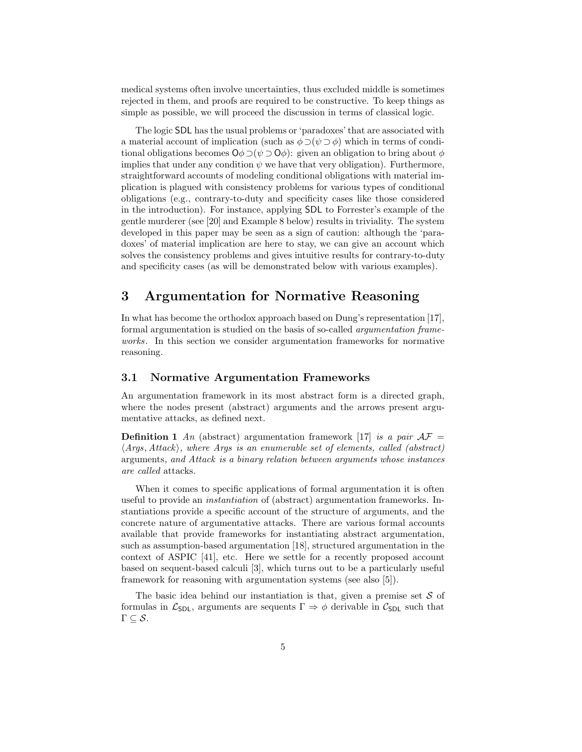medical systems often involve uncertainties, thus excluded middle is sometimes rejected in them, and proofs are required to be constructive. To keep things as simple as possible, we will proceed the discussion in terms of classical logic.

The logic SDL has the usual problems or 'paradoxes' that are associated with a material account of implication (such as  $\phi \supset (\psi \supset \phi)$ ) which in terms of conditional obligations becomes  $\mathsf{O}\phi \supset (\psi \supset \mathsf{O}\phi)$ : given an obligation to bring about  $\phi$ implies that under any condition  $\psi$  we have that very obligation). Furthermore, straightforward accounts of modeling conditional obligations with material implication is plagued with consistency problems for various types of conditional obligations (e.g., contrary-to-duty and specificity cases like those considered in the introduction). For instance, applying SDL to Forrester's example of the gentle murderer (see [20] and Example 8 below) results in triviality. The system developed in this paper may be seen as a sign of caution: although the 'paradoxes' of material implication are here to stay, we can give an account which solves the consistency problems and gives intuitive results for contrary-to-duty and specificity cases (as will be demonstrated below with various examples).

## 3 Argumentation for Normative Reasoning

In what has become the orthodox approach based on Dung's representation [17], formal argumentation is studied on the basis of so-called argumentation frameworks. In this section we consider argumentation frameworks for normative reasoning.

#### 3.1 Normative Argumentation Frameworks

An argumentation framework in its most abstract form is a directed graph, where the nodes present (abstract) arguments and the arrows present argumentative attacks, as defined next.

**Definition 1** An (abstract) argumentation framework [17] is a pair  $AF =$  $\langle Args, Attack\rangle$ , where Args is an enumerable set of elements, called (abstract) arguments, and Attack is a binary relation between arguments whose instances are called attacks.

When it comes to specific applications of formal argumentation it is often useful to provide an instantiation of (abstract) argumentation frameworks. Instantiations provide a specific account of the structure of arguments, and the concrete nature of argumentative attacks. There are various formal accounts available that provide frameworks for instantiating abstract argumentation, such as assumption-based argumentation [18], structured argumentation in the context of ASPIC [41], etc. Here we settle for a recently proposed account based on sequent-based calculi [3], which turns out to be a particularly useful framework for reasoning with argumentation systems (see also [5]).

The basic idea behind our instantiation is that, given a premise set  $S$  of formulas in  $\mathcal{L}_{SDL}$ , arguments are sequents  $\Gamma \Rightarrow \phi$  derivable in  $\mathcal{C}_{SDL}$  such that  $\Gamma \subseteq \mathcal{S}.$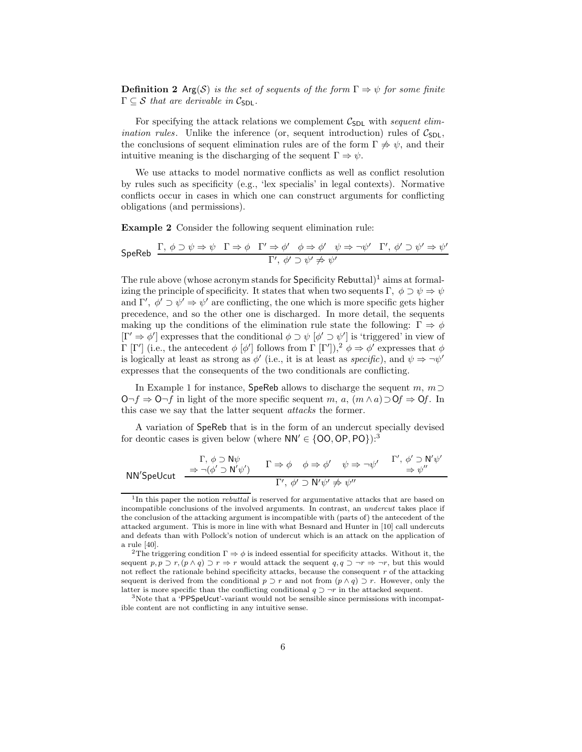**Definition 2** Arg(S) is the set of sequents of the form  $\Gamma \Rightarrow \psi$  for some finite  $\Gamma \subseteq \mathcal{S}$  that are derivable in  $\mathcal{C}_{\text{SDL}}$ .

For specifying the attack relations we complement  $C_{SDL}$  with sequent elim*ination rules*. Unlike the inference (or, sequent introduction) rules of  $C_{SDL}$ , the conclusions of sequent elimination rules are of the form  $\Gamma \not\Rightarrow \psi$ , and their intuitive meaning is the discharging of the sequent  $\Gamma \Rightarrow \psi$ .

We use attacks to model normative conflicts as well as conflict resolution by rules such as specificity (e.g., 'lex specialis' in legal contexts). Normative conflicts occur in cases in which one can construct arguments for conflicting obligations (and permissions).

Example 2 Consider the following sequent elimination rule:

$$
\mathsf{SpeReb} \quad \frac{\Gamma, \ \phi \supset \psi \Rightarrow \psi \quad \Gamma \Rightarrow \phi \quad \Gamma' \Rightarrow \phi' \quad \phi \Rightarrow \phi' \quad \psi \Rightarrow \neg \psi' \quad \Gamma', \ \phi' \supset \psi' \Rightarrow \psi'}{\Gamma', \ \phi' \supset \psi' \not\Rightarrow \psi'}
$$

The rule above (whose acronym stands for  $\text{Specificity}$  Rebuttal)<sup>1</sup> aims at formalizing the principle of specificity. It states that when two sequents Γ,  $\phi \supset \psi \Rightarrow \psi$ and  $\Gamma'$ ,  $\phi' \supset \psi' \Rightarrow \psi'$  are conflicting, the one which is more specific gets higher precedence, and so the other one is discharged. In more detail, the sequents making up the conditions of the elimination rule state the following:  $\Gamma \Rightarrow \phi$  $[\Gamma' \Rightarrow \phi']$  expresses that the conditional  $\phi \supset \psi$  [ $\phi' \supset \psi'$ ] is 'triggered' in view of Γ [Γ'] (i.e., the antecedent  $\phi$  [ $\phi'$ ] follows from Γ [Γ']),<sup>2</sup>  $\phi$  ⇒  $\phi'$  expresses that  $\phi$ is logically at least as strong as  $\phi'$  (i.e., it is at least as *specific*), and  $\psi \Rightarrow \neg \psi'$ expresses that the consequents of the two conditionals are conflicting.

In Example 1 for instance, SpeReb allows to discharge the sequent m,  $m \supset$ O¬f  $\Rightarrow$  O¬f in light of the more specific sequent m, a,  $(m \wedge a) \supset Qf \Rightarrow Qf$ . In this case we say that the latter sequent *attacks* the former.

A variation of SpeReb that is in the form of an undercut specially devised for deontic cases is given below (where  $NN' \in \{00, OP, PO\}$ ):<sup>3</sup>

$$
\text{NN}'\text{Spelcut} \quad \xrightarrow{\Gamma, \phi \supset \mathsf{N}\psi} \quad \Gamma \Rightarrow \phi \quad \phi \Rightarrow \phi' \quad \psi \Rightarrow \neg \psi' \quad \xrightarrow{\Gamma', \phi' \supset \mathsf{N}'\psi'}
$$
\n
$$
\text{NN}'\text{Spelcut} \quad \xrightarrow{\longrightarrow} \neg (\phi' \supset \mathsf{N}'\psi') \quad \xrightarrow{\Gamma \Rightarrow \phi} \phi \Rightarrow \phi' \quad \psi \Rightarrow \neg \psi' \quad \xrightarrow{\Gamma', \phi' \supset \mathsf{N}'\psi'}
$$

<sup>&</sup>lt;sup>1</sup>In this paper the notion *rebuttal* is reserved for argumentative attacks that are based on incompatible conclusions of the involved arguments. In contrast, an undercut takes place if the conclusion of the attacking argument is incompatible with (parts of) the antecedent of the attacked argument. This is more in line with what Besnard and Hunter in [10] call undercuts and defeats than with Pollock's notion of undercut which is an attack on the application of a rule [40].

<sup>&</sup>lt;sup>2</sup>The triggering condition  $\Gamma \Rightarrow \phi$  is indeed essential for specificity attacks. Without it, the sequent  $p, p \supset r, (p \wedge q) \supset r \Rightarrow r$  would attack the sequent  $q, q \supset \neg r \Rightarrow \neg r$ , but this would not reflect the rationale behind specificity attacks, because the consequent  $r$  of the attacking sequent is derived from the conditional  $p \supset r$  and not from  $(p \land q) \supset r$ . However, only the latter is more specific than the conflicting conditional  $q \supset \neg r$  in the attacked sequent.

<sup>&</sup>lt;sup>3</sup>Note that a 'PPSpeUcut'-variant would not be sensible since permissions with incompatible content are not conflicting in any intuitive sense.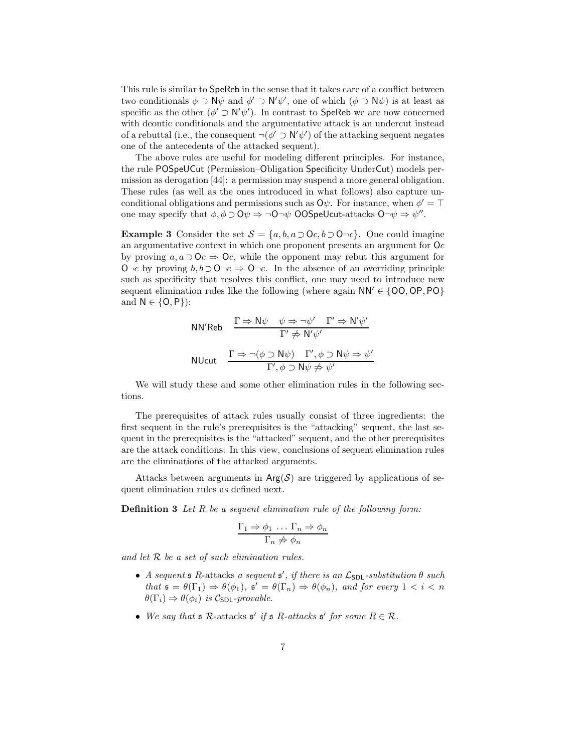This rule is similar to SpeReb in the sense that it takes care of a conflict between two conditionals  $\phi \supset \mathsf{N}\psi$  and  $\phi' \supset \mathsf{N}'\psi'$ , one of which  $(\phi \supset \mathsf{N}\psi)$  is at least as specific as the other  $(\phi' \supset \mathsf{N}'\psi')$ . In contrast to SpeReb we are now concerned with deontic conditionals and the argumentative attack is an undercut instead of a rebuttal (i.e., the consequent  $\neg(\phi' \supset \mathsf{N}'\psi')$  of the attacking sequent negates one of the antecedents of the attacked sequent).

The above rules are useful for modeling different principles. For instance, the rule POSpeUCut (Permission–Obligation Specificity UnderCut) models permission as derogation [44]: a permission may suspend a more general obligation. These rules (as well as the ones introduced in what follows) also capture unconditional obligations and permissions such as  $\mathsf{O}\psi$ . For instance, when  $\phi' = \top$ one may specify that  $\phi, \phi \supset Q\psi \Rightarrow \neg Q \neg \psi$  OOSpeUcut-attacks  $Q \neg \psi \Rightarrow \psi''$ .

Example 3 Consider the set  $S = \{a, b, a \supset 0 \subset c, b \supset 0 \subset c\}$ . One could imagine an argumentative context in which one proponent presents an argument for  $O<sub>c</sub>$ by proving  $a, a \supset Oc \Rightarrow Oc$ , while the opponent may rebut this argument for O¬c by proving  $b, b \supset Q\neg c \Rightarrow Q\neg c$ . In the absence of an overriding principle such as specificity that resolves this conflict, one may need to introduce new sequent elimination rules like the following (where again  $NN' \in \{OO, OP, PO\}$ and  $N \in \{O, P\}$ :

$$
NN'Reb \quad \frac{\Gamma \Rightarrow N\psi \quad \psi \Rightarrow \neg \psi' \quad \Gamma' \Rightarrow N'\psi'}{\Gamma' \not\Rightarrow N'\psi'}
$$
  
 
$$
NUcut \quad \frac{\Gamma \Rightarrow \neg(\phi \supset N\psi) \quad \Gamma', \phi \supset N\psi \Rightarrow \psi'}{\Gamma', \phi \supset N\psi \not\Rightarrow \psi'}
$$

We will study these and some other elimination rules in the following sections.

The prerequisites of attack rules usually consist of three ingredients: the first sequent in the rule's prerequisites is the "attacking" sequent, the last sequent in the prerequisites is the "attacked" sequent, and the other prerequisites are the attack conditions. In this view, conclusions of sequent elimination rules are the eliminations of the attacked arguments.

Attacks between arguments in  $Arg(S)$  are triggered by applications of sequent elimination rules as defined next.

**Definition 3** Let R be a sequent elimination rule of the following form:

$$
\frac{\Gamma_1 \Rightarrow \phi_1 \dots \Gamma_n \Rightarrow \phi_n}{\Gamma_n \not\Rightarrow \phi_n}
$$

and let  $R$  be a set of such elimination rules.

- A sequent  $\mathfrak s$  R-attacks a sequent  $\mathfrak s'$ , if there is an  $\mathcal L_{\mathsf{SDL}}$ -substitution  $\theta$  such that  $\mathfrak{s} = \theta(\Gamma_1) \Rightarrow \theta(\phi_1), \mathfrak{s}' = \theta(\Gamma_n) \Rightarrow \theta(\phi_n), \text{ and for every } 1 < i < n$  $\theta(\Gamma_i) \Rightarrow \theta(\phi_i)$  is  $\mathcal{C}_{\text{SDL}}$ -provable.
- We say that  $\mathfrak s$  R-attacks  $\mathfrak s'$  if  $\mathfrak s$  R-attacks  $\mathfrak s'$  for some  $R \in \mathcal R$ .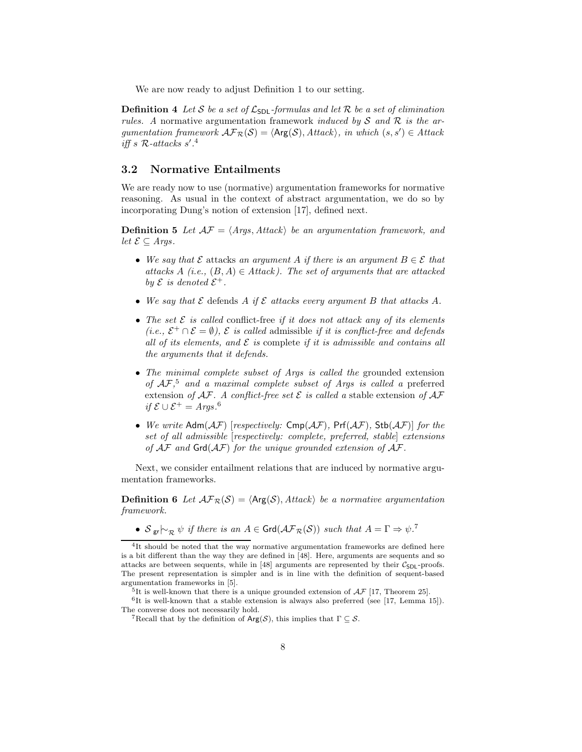We are now ready to adjust Definition 1 to our setting.

**Definition 4** Let S be a set of  $\mathcal{L}_{SDL}$ -formulas and let R be a set of elimination rules. A normative argumentation framework induced by S and R is the argumentation framework  $\mathcal{AF}_{\mathcal{R}}(\mathcal{S}) = \langle \mathsf{Arg}(\mathcal{S}), \mathit{Attack} \rangle$ , in which  $(s, s') \in \mathit{Attack}$ iff s  $R$ -attacks s'.<sup>4</sup>

#### 3.2 Normative Entailments

We are ready now to use (normative) argumentation frameworks for normative reasoning. As usual in the context of abstract argumentation, we do so by incorporating Dung's notion of extension [17], defined next.

**Definition 5** Let  $AF = \langle Args, Attack \rangle$  be an argumentation framework, and *let*  $\mathcal{E}$  ⊆ *Args*.

- We say that  $\mathcal E$  attacks an argument A if there is an argument  $B \in \mathcal E$  that attacks A (i.e.,  $(B, A) \in Attack$ ). The set of arguments that are attacked by  $\mathcal E$  is denoted  $\mathcal E^+$ .
- We say that  $\mathcal E$  defends A if  $\mathcal E$  attacks every argument B that attacks A.
- The set  $\mathcal E$  is called conflict-free if it does not attack any of its elements (*i.e.*,  $\mathcal{E}^+ \cap \mathcal{E} = \emptyset$ ),  $\mathcal E$  is called admissible if it is conflict-free and defends all of its elements, and  $\mathcal E$  is complete if it is admissible and contains all the arguments that it defends.
- The minimal complete subset of Args is called the grounded extension of  $AF$ <sup>5</sup>, and a maximal complete subset of Args is called a preferred extension of  $A\mathcal{F}$ . A conflict-free set  $\mathcal E$  is called a stable extension of  $A\mathcal{F}$ *if*  $\mathcal{E} \cup \mathcal{E}^+$  = Args.<sup>6</sup>
- We write  $\text{Adm}(AF)$  [respectively:  $\text{Cmp}(AF)$ ,  $\text{Prf}(AF)$ ,  $\text{Stb}(AF)$ ] for the set of all admissible [respectively: complete, preferred, stable] extensions of  $A\mathcal{F}$  and  $Grd(A\mathcal{F})$  for the unique grounded extension of  $A\mathcal{F}$ .

Next, we consider entailment relations that are induced by normative argumentation frameworks.

**Definition 6** Let  $\mathcal{AF}_{\mathcal{R}}(\mathcal{S}) = \langle \mathsf{Arg}(\mathcal{S}), \mathsf{Attack} \rangle$  be a normative argumentation framework.

•  $S_{\text{gr}} \vdash_{\mathcal{R}} \psi$  if there is an  $A \in \text{Grd}(\mathcal{AF}_{\mathcal{R}}(\mathcal{S}))$  such that  $A = \Gamma \Rightarrow \psi$ .<sup>7</sup>

<sup>&</sup>lt;sup>4</sup>It should be noted that the way normative argumentation frameworks are defined here is a bit different than the way they are defined in [48]. Here, arguments are sequents and so attacks are between sequents, while in  $[48]$  arguments are represented by their  $C_{\text{SDL}}$ -proofs. The present representation is simpler and is in line with the definition of sequent-based argumentation frameworks in [5].

 $^5$ It is well-known that there is a unique grounded extension of  $\mathcal{AF}$  [17, Theorem 25].

 ${}^{6}$ It is well-known that a stable extension is always also preferred (see [17, Lemma 15]). The converse does not necessarily hold.

<sup>&</sup>lt;sup>7</sup>Recall that by the definition of  $Arg(S)$ , this implies that  $\Gamma \subseteq S$ .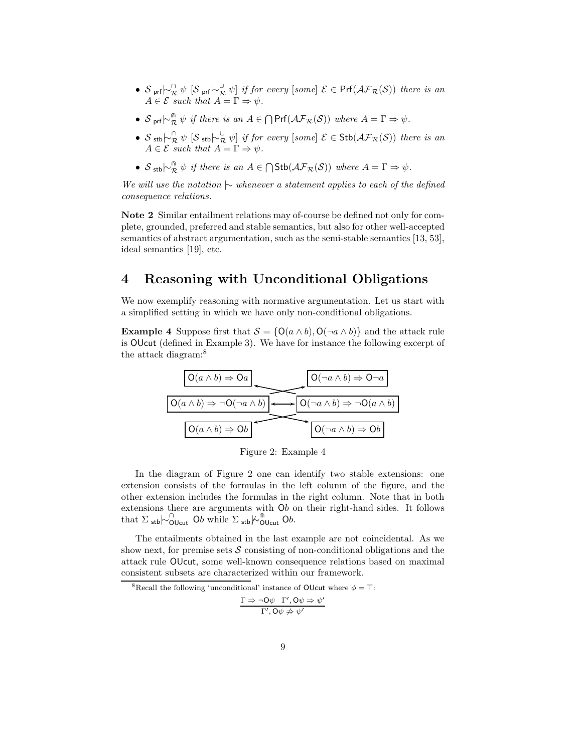- $S$ <sub>prf</sub> $\sim_{\mathcal{R}}^{\cap}$   $\psi$   $[\mathcal{S}$ <sub>prf</sub> $\sim_{\mathcal{R}}^{\cup}$   $\psi$  if for every [some]  $\mathcal{E} \in Prf(\mathcal{AF}_{\mathcal{R}}(\mathcal{S}))$  there is an  $A \in \mathcal{E}$  such that  $A = \Gamma \Rightarrow \psi$ .
- $S_{\text{prf}}\sim_{\mathcal{R}}^{\mathcal{R}} \psi$  if there is an  $A \in \bigcap \text{Prf}(\mathcal{AF}_{\mathcal{R}}(\mathcal{S}))$  where  $A = \Gamma \Rightarrow \psi$ .
- $S$  stb $\sim_{\mathcal{R}}^{\cap} \psi$  [S stb $\sim_{\mathcal{R}}^{\cup} \psi$ ] if for every [some]  $\mathcal{E} \in \mathsf{Stb}(\mathcal{AF}_{\mathcal{R}}(\mathcal{S}))$  there is an  $A \in \mathcal{E}$  such that  $A = \Gamma \Rightarrow \psi$ .
- $S_{\text{stb}} \sim_{\mathcal{R}}^{\mathcal{R}} \psi$  if there is an  $A \in \bigcap \text{Stb}(\mathcal{AF}_{\mathcal{R}}(S))$  where  $A = \Gamma \Rightarrow \psi$ .

We will use the notation  $\sim$  whenever a statement applies to each of the defined consequence relations.

Note 2 Similar entailment relations may of-course be defined not only for complete, grounded, preferred and stable semantics, but also for other well-accepted semantics of abstract argumentation, such as the semi-stable semantics [13, 53], ideal semantics [19], etc.

## 4 Reasoning with Unconditional Obligations

We now exemplify reasoning with normative argumentation. Let us start with a simplified setting in which we have only non-conditional obligations.

**Example 4** Suppose first that  $S = \{O(a \wedge b), O(\neg a \wedge b)\}\$ and the attack rule is OUcut (defined in Example 3). We have for instance the following excerpt of the attack diagram:<sup>8</sup>



Figure 2: Example 4

In the diagram of Figure 2 one can identify two stable extensions: one extension consists of the formulas in the left column of the figure, and the other extension includes the formulas in the right column. Note that in both extensions there are arguments with Ob on their right-hand sides. It follows that  $\Sigma$  stb $\sim$  $\overline{\text{O}}$ Ucut  $\overline{\text{O}}$ b while  $\Sigma$  stb $\overline{\text{O}}$ <sup>m</sup> $\overline{\text{O}}$ Ucut  $\overline{\text{O}}$ b.

The entailments obtained in the last example are not coincidental. As we show next, for premise sets  $\mathcal S$  consisting of non-conditional obligations and the attack rule OUcut, some well-known consequence relations based on maximal consistent subsets are characterized within our framework.

<sup>8</sup>Recall the following 'unconditional' instance of OUcut where  $\phi = \top$ :

$$
\frac{\Gamma \Rightarrow \neg \mathsf{O}\psi \quad \Gamma', \mathsf{O}\psi \Rightarrow \psi'}{\Gamma', \mathsf{O}\psi \not\Rightarrow \psi'}
$$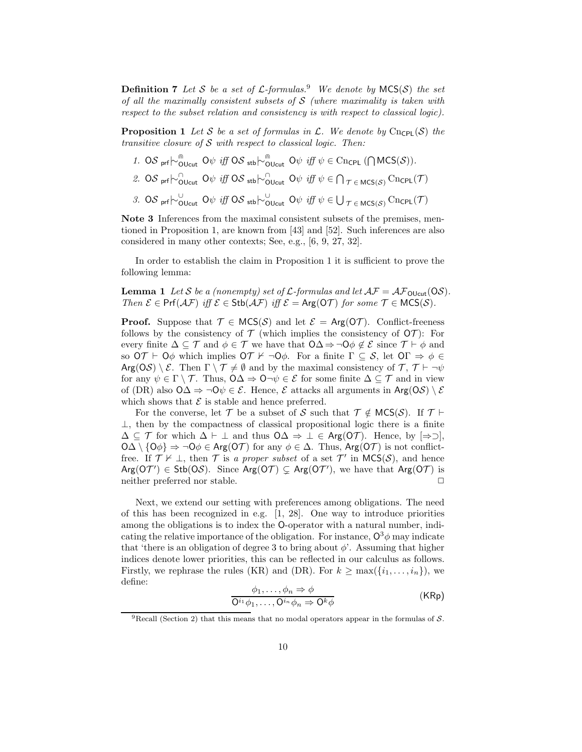**Definition 7** Let S be a set of  $\mathcal{L}$ -formulas.<sup>9</sup> We denote by MCS(S) the set of all the maximally consistent subsets of  $S$  (where maximality is taken with respect to the subset relation and consistency is with respect to classical logic).

**Proposition 1** Let S be a set of formulas in  $\mathcal{L}$ . We denote by Cn<sub>CPL</sub>(S) the transitive closure of  $S$  with respect to classical logic. Then:

- 1. OS pr $\uparrow$ <sup>m</sup> $\circ$ <sub>OUcut</sub> O $\psi$  *iff* OS stb $\downarrow$ <sup>m</sup> $\circ$ <sub>OUcut</sub> O $\psi$  *iff*  $\psi \in \text{Cncpl}$  ( $\bigcap \text{MCS}(\mathcal{S})$ ).
- 2. OS pr $\uparrow$ <sup> $\sim$ </sup>OUcut O $\psi$  iff OS stb $\uparrow$ <sup> $\sim$ </sup>OUcut O $\psi$  iff  $\psi \in \bigcap_{\mathcal{T} \in \mathsf{MCS}(\mathcal{S})}$  Cncpl( $\mathcal{T}$ )
- 3. OS pr $\uparrow$ <sup>U</sup>OUcut O $\psi$  iff OS stb $\downarrow$ <sup>U</sup>OUcut O $\psi$  iff  $\psi \in \bigcup_{\mathcal{T} \in MCS(\mathcal{S})} \text{Cncpl}(\mathcal{T})$

Note 3 Inferences from the maximal consistent subsets of the premises, mentioned in Proposition 1, are known from [43] and [52]. Such inferences are also considered in many other contexts; See, e.g., [6, 9, 27, 32].

In order to establish the claim in Proposition 1 it is sufficient to prove the following lemma:

**Lemma 1** Let S be a (nonempty) set of L-formulas and let  $AF = AF_{\text{Olcut}}(OS)$ . Then  $\mathcal{E} \in \text{Prf}(\mathcal{AF})$  iff  $\mathcal{E} \in \text{Stb}(\mathcal{AF})$  iff  $\mathcal{E} = \text{Arg}(\text{OT})$  for some  $\mathcal{T} \in \text{MCS}(\mathcal{S})$ .

**Proof.** Suppose that  $\mathcal{T} \in \mathsf{MCS}(\mathcal{S})$  and let  $\mathcal{E} = \mathsf{Arg}(\mathsf{O}\mathcal{T})$ . Conflict-freeness follows by the consistency of  $\mathcal T$  (which implies the consistency of  $\mathcal O\mathcal T$ ): For every finite  $\Delta \subseteq \mathcal{T}$  and  $\phi \in \mathcal{T}$  we have that  $\mathsf{O}\Delta \Rightarrow \neg \mathsf{O}\phi \notin \mathcal{E}$  since  $\mathcal{T} \vdash \phi$  and so  $\overline{O}T$  ⊢  $\overline{O}\phi$  which implies  $\overline{O}T$  ⊬  $\neg \overline{O}\phi$ . For a finite  $\Gamma \subset S$ , let  $\overline{O}\Gamma \Rightarrow \phi \in$ Arg(OS) \  $\mathcal{E}$ . Then  $\Gamma \setminus \mathcal{T} \neq \emptyset$  and by the maximal consistency of  $\mathcal{T}, \mathcal{T} \vdash \neg \psi$ for any  $\psi \in \Gamma \setminus \mathcal{T}$ . Thus,  $\mathcal{O}\Delta \Rightarrow \mathcal{O}\neg\psi \in \mathcal{E}$  for some finite  $\Delta \subseteq \mathcal{T}$  and in view of (DR) also  $\mathcal{O}\Delta \Rightarrow \neg \mathcal{O}\psi \in \mathcal{E}$ . Hence,  $\mathcal E$  attacks all arguments in Arg( $\mathcal{OS}\setminus\mathcal{E}$ which shows that  $\mathcal E$  is stable and hence preferred.

For the converse, let  $\mathcal T$  be a subset of S such that  $\mathcal T \notin \mathsf{MCS}(\mathcal S)$ . If  $\mathcal T \vdash$  $\perp$ , then by the compactness of classical propositional logic there is a finite  $\Delta \subseteq \mathcal{T}$  for which  $\Delta \vdash \bot$  and thus  $\Box \Delta \Rightarrow \bot \in \text{Arg}(\Box \mathcal{T})$ . Hence, by  $[\Rightarrow \supset]$ ,  $\overline{OA} \setminus {\overline{O}\phi} \Rightarrow \neg \overline{O}\phi \in \text{Arg}(\overline{O}\mathcal{T})$  for any  $\phi \in \Delta$ . Thus,  $\text{Arg}(\overline{O}\mathcal{T})$  is not conflictfree. If  $\mathcal{T} \nvDash \bot$ , then  $\mathcal{T}$  is a proper subset of a set  $\mathcal{T}'$  in  $MCS(\mathcal{S})$ , and hence  $Arg(O\mathcal{T}') \in Stb(O\mathcal{S})$ . Since  $Arg(O\mathcal{T}) \subsetneq Arg(O\mathcal{T}')$ , we have that  $Arg(O\mathcal{T})$  is neither preferred nor stable.  $\Box$ 

Next, we extend our setting with preferences among obligations. The need of this has been recognized in e.g. [1, 28]. One way to introduce priorities among the obligations is to index the O-operator with a natural number, indicating the relative importance of the obligation. For instance,  $O^3\phi$  may indicate that 'there is an obligation of degree 3 to bring about  $\phi$ '. Assuming that higher indices denote lower priorities, this can be reflected in our calculus as follows. Firstly, we rephrase the rules (KR) and (DR). For  $k \ge \max(\{i_1, \ldots, i_n\})$ , we define:

$$
\frac{\phi_1, \dots, \phi_n \Rightarrow \phi}{Q^{i_1}\phi_1, \dots, Q^{i_n}\phi_n \Rightarrow Q^k\phi}
$$
 (KRp)

<sup>&</sup>lt;sup>9</sup>Recall (Section 2) that this means that no modal operators appear in the formulas of S.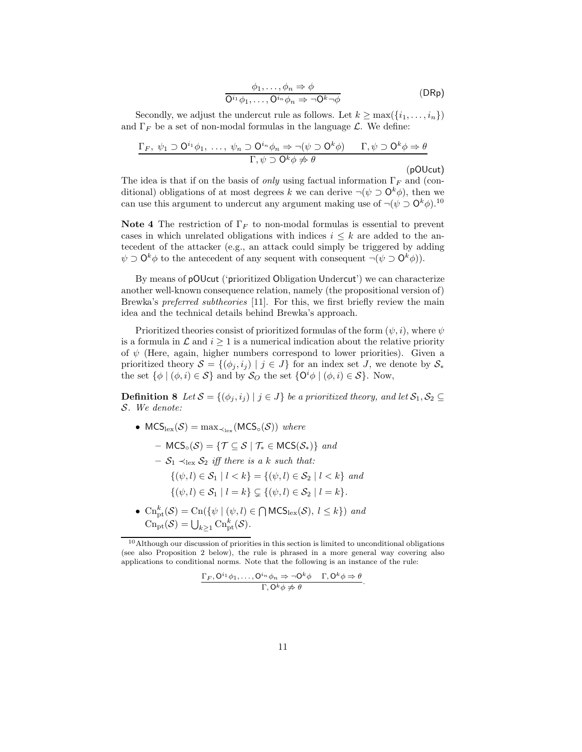$$
\begin{array}{c}\n\phi_1, \dots, \phi_n \Rightarrow \phi \\
\hline\n\mathbf{O}^{i_1} \phi_1, \dots, \mathbf{O}^{i_n} \phi_n \Rightarrow \neg \mathbf{O}^k \neg \phi\n\end{array} \tag{DRp}
$$

Secondly, we adjust the undercut rule as follows. Let  $k \ge \max(\{i_1, \ldots, i_n\})$ and  $\Gamma_F$  be a set of non-modal formulas in the language  $\mathcal{L}$ . We define:

$$
\frac{\Gamma_F, \psi_1 \supset O^{i_1} \phi_1, \dots, \psi_n \supset O^{i_n} \phi_n \Rightarrow \neg(\psi \supset O^k \phi) \qquad \Gamma, \psi \supset O^k \phi \Rightarrow \theta}{\Gamma, \psi \supset O^k \phi \not\Rightarrow \theta}
$$

(pOUcut)

The idea is that if on the basis of *only* using factual information  $\Gamma_F$  and (conditional) obligations of at most degrees k we can derive  $\neg(\psi \supset \mathbf{O}^k \phi)$ , then we can use this argument to undercut any argument making use of  $\neg(\psi \supset O^k \phi).$ <sup>10</sup>

Note 4 The restriction of  $\Gamma_F$  to non-modal formulas is essential to prevent cases in which unrelated obligations with indices  $i \leq k$  are added to the antecedent of the attacker (e.g., an attack could simply be triggered by adding  $\psi \supset \mathbf{O}^k \phi$  to the antecedent of any sequent with consequent  $\neg(\psi \supset \mathbf{O}^k \phi)$ .

By means of pOUcut ('prioritized Obligation Undercut') we can characterize another well-known consequence relation, namely (the propositional version of) Brewka's *preferred subtheories* [11]. For this, we first briefly review the main idea and the technical details behind Brewka's approach.

Prioritized theories consist of prioritized formulas of the form  $(\psi, i)$ , where  $\psi$ is a formula in  $\mathcal L$  and  $i > 1$  is a numerical indication about the relative priority of  $\psi$  (Here, again, higher numbers correspond to lower priorities). Given a prioritized theory  $S = \{(\phi_j, i_j) \mid j \in J\}$  for an index set J, we denote by  $S_*$ the set  $\{\phi \mid (\phi, i) \in \mathcal{S}\}\$ and by  $\mathcal{S}_O$  the set  $\{\mathsf{O}^i\phi \mid (\phi, i) \in \mathcal{S}\}\$ . Now,

**Definition 8** Let  $S = \{(\phi_j, i_j) | j \in J\}$  be a prioritized theory, and let  $S_1, S_2 \subseteq$ S. We denote:

- $MCS<sub>lex</sub>(S) = max<sub>star</sub>(MCS<sub>o</sub>(S)) where$ 
	- $\text{MCS}_{\circ}(\mathcal{S}) = \{ \mathcal{T} \subset \mathcal{S} \mid \mathcal{T}_{*} \in \text{MCS}(\mathcal{S}_{*}) \}$  and
	- $S_1 \prec_{\text{lex}} S_2$  iff there is a k such that:
		- $\{(\psi, l) \in S_1 \mid l < k\} = \{(\psi, l) \in S_2 \mid l < k\}$  and

$$
\{(\psi, l) \in \mathcal{S}_1 \mid l = k\} \subsetneq \{(\psi, l) \in \mathcal{S}_2 \mid l = k\}.
$$

•  $\text{Cn}_{\text{pt}}^k(\mathcal{S}) = \text{Cn}(\{\psi \mid (\psi, l) \in \bigcap \text{MCS}_{\text{lex}}(\mathcal{S}), l \leq k\})$  and  $\text{Cn}_{\text{pt}}(\mathcal{S}) = \bigcup_{k \geq 1} \text{Cn}_{\text{pt}}^k(\mathcal{S}).$ 

$$
\frac{\Gamma_F, \mathsf{O}^{i_1}\phi_1, \dots, \mathsf{O}^{i_n}\phi_n \Rightarrow \neg \mathsf{O}^k\phi \quad \Gamma, \mathsf{O}^k\phi \Rightarrow \theta}{\Gamma, \mathsf{O}^k\phi \not\Rightarrow \theta}.
$$

<sup>10</sup>Although our discussion of priorities in this section is limited to unconditional obligations (see also Proposition 2 below), the rule is phrased in a more general way covering also applications to conditional norms. Note that the following is an instance of the rule: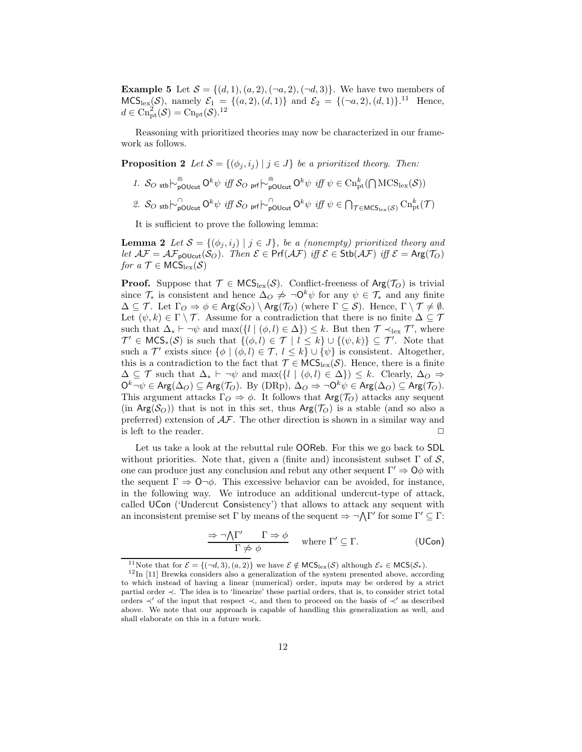**Example 5** Let  $S = \{(d, 1), (a, 2), (\neg a, 2), (\neg d, 3)\}$ . We have two members of  $MCS_{\text{lex}}(\mathcal{S})$ , namely  $\mathcal{E}_1 = \{(a, 2), (d, 1)\}$  and  $\mathcal{E}_2 = \{(\neg a, 2), (d, 1)\}$ .<sup>11</sup> Hence,  $d \in \mathrm{Cn}_\mathrm{pt}^2(\mathcal{S}) = \mathrm{Cn}_\mathrm{pt}(\mathcal{S}).^{12}$ 

Reasoning with prioritized theories may now be characterized in our framework as follows.

**Proposition 2** Let  $S = \{(\phi_j, i_j) | j \in J\}$  be a prioritized theory. Then:

- 1. S<sub>O stb</sub> $\vdash_{\text{pOUcut}}^{\text{m}} O^k \psi$  *iff* S<sub>O prf</sub> $\vdash_{\text{pOUcut}}^{\text{m}} O^k \psi$  *iff*  $\psi \in \text{Ch}_{\text{pt}}^k(\bigcap \text{MCS}_{\text{lex}}(\mathcal{S}))$
- 2. S<sub>O stb</sub> $\sim_{\text{pOlcut}}^{\cap} O^k \psi$  iff S<sub>O prf</sub> $\sim_{\text{poulcut}}^{\cap} O^k \psi$  iff  $\psi \in \bigcap_{\mathcal{T} \in \text{MCS}_{\text{lex}}(\mathcal{S})} \text{Ch}^k_{\text{pt}}(\mathcal{T})$

It is sufficient to prove the following lemma:

**Lemma 2** Let  $S = \{(\phi_j, i_j) | j \in J\}$ , be a (nonempty) prioritized theory and let  $\mathcal{AF} = \mathcal{AF}_{\text{p}OUcut}(\mathcal{S}_{\mathcal{O}})$ . Then  $\mathcal{E} \in \text{Prf}(\mathcal{AF})$  iff  $\mathcal{E} \in \text{Stb}(\mathcal{AF})$  iff  $\mathcal{E} = \text{Arg}(\mathcal{T}_{\mathcal{O}})$ for  $a \mathcal{T} \in \mathsf{MCS}_{\mathrm{lex}}(\mathcal{S})$ 

**Proof.** Suppose that  $\mathcal{T} \in \text{MCS}_{\text{lex}}(\mathcal{S})$ . Conflict-freeness of  $\text{Arg}(\mathcal{T}_O)$  is trivial since  $\mathcal{T}_{*}$  is consistent and hence  $\Delta_{\Omega} \neq \neg \mathbf{O}^{k} \psi$  for any  $\psi \in \mathcal{T}_{*}$  and any finite  $\Delta \subseteq \mathcal{T}$ . Let  $\Gamma_O \Rightarrow \phi \in \text{Arg}(\mathcal{S}_O) \setminus \text{Arg}(\mathcal{T}_O)$  (where  $\Gamma \subseteq \mathcal{S}$ ). Hence,  $\Gamma \setminus \mathcal{T} \neq \emptyset$ . Let  $(\psi, k) \in \Gamma \setminus \mathcal{T}$ . Assume for a contradiction that there is no finite  $\Delta \subseteq \mathcal{T}$ such that  $\Delta_* \vdash \neg \psi$  and  $\max(\{l \mid (\phi, l) \in \Delta\}) \leq k$ . But then  $\mathcal{T} \prec_{\text{lex}} \mathcal{T}'$ , where  $\mathcal{T}' \in \mathsf{MCS}_*(\mathcal{S})$  is such that  $\{(\phi, l) \in \mathcal{T} \mid l \leq k\} \cup \{(\psi, k)\} \subseteq \mathcal{T}'$ . Note that such a  $\mathcal{T}'$  exists since  $\{\phi \mid (\phi, l) \in \mathcal{T}, l \leq k\} \cup \{\psi\}$  is consistent. Altogether, this is a contradiction to the fact that  $\mathcal{T} \in \mathsf{MCS}_{\mathrm{lex}}(\mathcal{S})$ . Hence, there is a finite  $\Delta \subseteq \mathcal{T}$  such that  $\Delta_* \vdash \neg \psi$  and  $\max({l \mid (\phi, l) \in \Delta}) \leq k$ . Clearly,  $\Delta_O \Rightarrow$  $O^k \neg \psi \in \text{Arg}(\Delta_O) \subseteq \text{Arg}(\mathcal{T}_O)$ . By  $(DRp)$ ,  $\Delta_O \Rightarrow \neg O^k \psi \in \text{Arg}(\Delta_O) \subseteq \text{Arg}(\mathcal{T}_O)$ . This argument attacks  $\Gamma_O \Rightarrow \phi$ . It follows that  $\text{Arg}(\mathcal{T}_O)$  attacks any sequent (in Arg( $S_O$ )) that is not in this set, thus Arg( $\mathcal{T}_O$ ) is a stable (and so also a preferred) extension of AF. The other direction is shown in a similar way and is left to the reader.

Let us take a look at the rebuttal rule OOReb. For this we go back to SDL without priorities. Note that, given a (finite and) inconsistent subset  $\Gamma$  of  $\mathcal{S}$ , one can produce just any conclusion and rebut any other sequent  $\Gamma' \Rightarrow O\phi$  with the sequent  $\Gamma \Rightarrow \mathsf{O}\neg\phi$ . This excessive behavior can be avoided, for instance, in the following way. We introduce an additional undercut-type of attack, called UCon ('Undercut Consistency') that allows to attack any sequent with an inconsistent premise set  $\Gamma$  by means of the sequent  $\Rightarrow \neg \Lambda \Gamma'$  for some  $\Gamma' \subseteq \Gamma$ :

$$
\frac{\Rightarrow \neg \bigwedge \Gamma' \qquad \Gamma \Rightarrow \phi}{\Gamma \not\Rightarrow \phi} \quad \text{where } \Gamma' \subseteq \Gamma. \tag{UCon}
$$

<sup>&</sup>lt;sup>11</sup>Note that for  $\mathcal{E} = \{(\neg d, 3), (a, 2)\}\)$  we have  $\mathcal{E} \notin \mathsf{MCS}_{\mathrm{lex}}(\mathcal{S})$  although  $\mathcal{E}_* \in \mathsf{MCS}(\mathcal{S}_*)$ .

<sup>12</sup>In [11] Brewka considers also a generalization of the system presented above, according to which instead of having a linear (numerical) order, inputs may be ordered by a strict partial order ≺. The idea is to 'linearize' these partial orders, that is, to consider strict total orders  $\prec'$  of the input that respect  $\prec$ , and then to proceed on the basis of  $\prec'$  as described above. We note that our approach is capable of handling this generalization as well, and shall elaborate on this in a future work.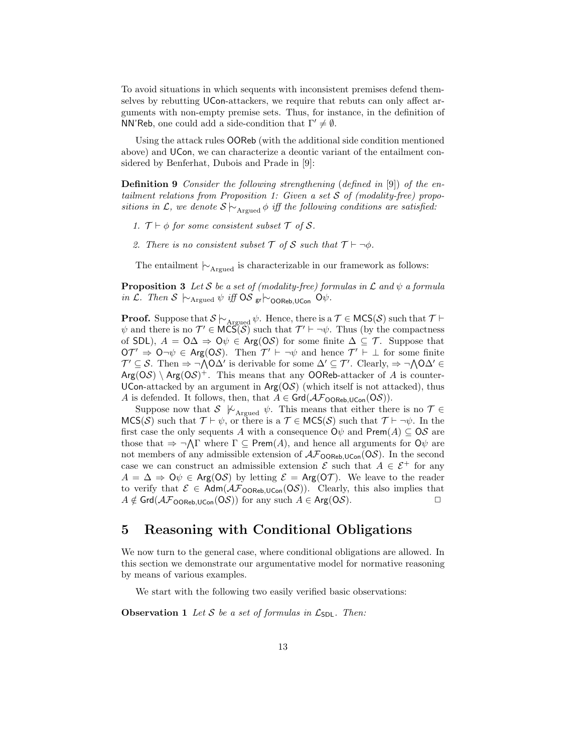To avoid situations in which sequents with inconsistent premises defend themselves by rebutting UCon-attackers, we require that rebuts can only affect arguments with non-empty premise sets. Thus, for instance, in the definition of NN'Reb, one could add a side-condition that  $\Gamma' \neq \emptyset$ .

Using the attack rules OOReb (with the additional side condition mentioned above) and UCon, we can characterize a deontic variant of the entailment considered by Benferhat, Dubois and Prade in [9]:

Definition 9 Consider the following strengthening (defined in [9]) of the entailment relations from Proposition 1: Given a set  $S$  of (modality-free) propositions in L, we denote  $S \sim_{\text{Argued}} \phi$  iff the following conditions are satisfied:

- 1.  $\mathcal{T} \vdash \phi$  for some consistent subset  $\mathcal{T}$  of  $\mathcal{S}$ .
- 2. There is no consistent subset  $\mathcal T$  of  $\mathcal S$  such that  $\mathcal T \vdash \neg \phi$ .

The entailment  $\vdash_{\text{Argued}}$  is characterizable in our framework as follows:

**Proposition 3** Let S be a set of (modality-free) formulas in  $\mathcal L$  and  $\psi$  a formula in L. Then S  $\sim$ Argued  $\psi$  iff OS gr $\sim$ OOReb, UCon  $\mathcal{O}\psi$ .

**Proof.** Suppose that  $\mathcal{S} \models_{\mathrm{Argued}} \psi$ . Hence, there is a  $\mathcal{T} \in \mathsf{MCS}(\mathcal{S})$  such that  $\mathcal{T} \vdash$  $\psi$  and there is no  $\mathcal{T}' \in \mathsf{MCS}(\mathcal{S})$  such that  $\mathcal{T}' \vdash \neg \psi$ . Thus (by the compactness of SDL),  $A = 0\Delta \Rightarrow 0\psi \in \text{Arg}(0\mathcal{S})$  for some finite  $\Delta \subseteq \mathcal{T}$ . Suppose that  $\mathsf{O}\mathcal{T}' \Rightarrow \mathsf{O}\neg\psi \in \mathsf{Arg}(\mathsf{O}\mathcal{S})$ . Then  $\mathcal{T}' \vdash \neg\psi$  and hence  $\mathcal{T}' \vdash \bot$  for some finite  $\mathcal{T}' \subseteq \mathcal{S}$ . Then  $\Rightarrow \neg \wedge \mathsf{OA}'$  is derivable for some  $\Delta' \subseteq \mathcal{T}'$ . Clearly,  $\Rightarrow \neg \wedge \mathsf{OA}' \in$  $Arg(OS) \setminus Arg(OS)^{+}$ . This means that any OOReb-attacker of A is counter-UCon-attacked by an argument in  $Arg(OS)$  (which itself is not attacked), thus A is defended. It follows, then, that  $A \in \text{Grd}(\mathcal{AF}_{\text{OOREb.UCon}}(OS)).$ 

Suppose now that  $S \nvert \nvert_{\text{Argued}} \psi$ . This means that either there is no  $\mathcal{T} \in$  $MCS(\mathcal{S})$  such that  $\mathcal{T} \vdash \psi$ , or there is a  $\mathcal{T} \in MCS(\mathcal{S})$  such that  $\mathcal{T} \vdash \neg \psi$ . In the first case the only sequents A with a consequence  $\mathsf{O}\psi$  and  $\mathsf{Prem}(A) \subseteq \mathsf{OS}$  are those that  $\Rightarrow \neg \bigwedge \Gamma$  where  $\Gamma \subseteq \mathsf{Prem}(A)$ , and hence all arguments for  $\mathsf{O}\psi$  are not members of any admissible extension of  $\mathcal{AF}_{\text{OOREb,UCon}}(OS)$ . In the second case we can construct an admissible extension  $\mathcal{E}$  such that  $A \in \mathcal{E}^+$  for any  $A = \Delta \Rightarrow Q\psi \in \text{Arg}(QS)$  by letting  $\mathcal{E} = \text{Arg}(QT)$ . We leave to the reader to verify that  $\mathcal{E} \in \mathsf{Adm}(\mathcal{AF}_{\mathsf{OOREb,UCon}}(\mathsf{O}\mathcal{S}))$ . Clearly, this also implies that  $A \notin \mathsf{Grd}(\mathcal{AF}_{\mathsf{OOREb},\mathsf{UCon}}(\mathsf{O}\mathcal{S}))$  for any such  $A \in \mathsf{Arg}(\mathsf{O}\mathcal{S})$ .

### 5 Reasoning with Conditional Obligations

We now turn to the general case, where conditional obligations are allowed. In this section we demonstrate our argumentative model for normative reasoning by means of various examples.

We start with the following two easily verified basic observations:

**Observation 1** Let S be a set of formulas in  $\mathcal{L}_{SDL}$ . Then: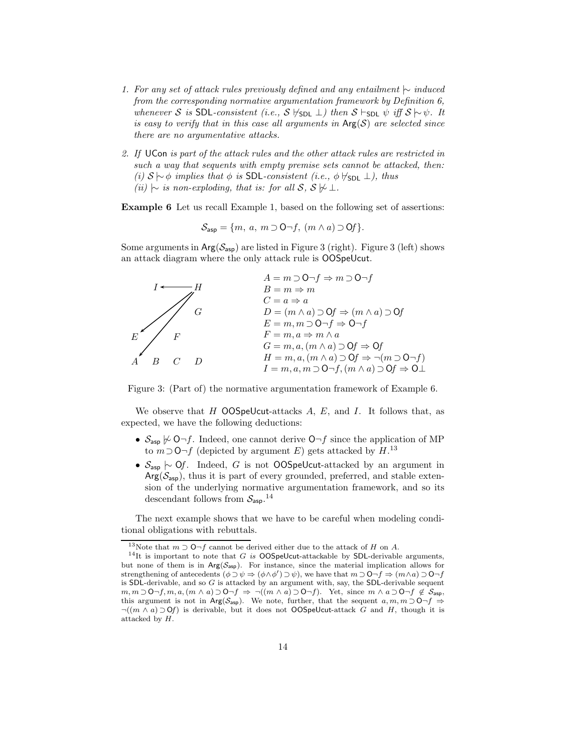- 1. For any set of attack rules previously defined and any entailment  $\sim$  induced from the corresponding normative argumentation framework by Definition 6, whenever S is SDL-consistent (i.e., S  $\nvdash_{SDL} \perp$ ) then S  $\vdash_{SDL} \psi$  iff  $S \sim \psi$ . It is easy to verify that in this case all arguments in  $Arg(S)$  are selected since there are no argumentative attacks.
- 2. If UCon is part of the attack rules and the other attack rules are restricted in such a way that sequents with empty premise sets cannot be attacked, then: (i)  $S \sim \phi$  implies that  $\phi$  is SDL-consistent (i.e.,  $\phi \nvDash_{SDL} \bot$ ), thus (ii)  $\sim$  is non-exploding, that is: for all S, S  $\not\vdash \bot$ .

Example 6 Let us recall Example 1, based on the following set of assertions:

$$
\mathcal{S}_{\mathsf{asp}} = \{m, a, m \supset \mathsf{O}\neg f, (m \wedge a) \supset \mathsf{O}f\}.
$$

Some arguments in  $Arg(S_{asp})$  are listed in Figure 3 (right). Figure 3 (left) shows an attack diagram where the only attack rule is OOSpeUcut.



Figure 3: (Part of) the normative argumentation framework of Example 6.

We observe that  $H$  OOSpeUcut-attacks  $A, E$ , and  $I$ . It follows that, as expected, we have the following deductions:

- $S_{\text{asp}} \not\sim \bigcirc \neg f$ . Indeed, one cannot derive  $\bigcirc \neg f$  since the application of MP to  $m$ ⊃O¬f (depicted by argument E) gets attacked by  $H$ <sup>13</sup>
- $S_{\text{asp}}$   $\sim$  Of. Indeed, G is not OOSpeUcut-attacked by an argument in  $Arg(\mathcal{S}_{asp})$ , thus it is part of every grounded, preferred, and stable extension of the underlying normative argumentation framework, and so its descendant follows from  $S_{\sf asp}.<sup>14</sup>$

The next example shows that we have to be careful when modeling conditional obligations with rebuttals.

<sup>&</sup>lt;sup>13</sup>Note that  $m \supset \mathsf{O}\neg f$  cannot be derived either due to the attack of H on A.

<sup>&</sup>lt;sup>14</sup>It is important to note that G is OOSpeUcut-attackable by SDL-derivable arguments, but none of them is in  $Arg(S_{asp})$ . For instance, since the material implication allows for strengthening of antecedents  $(\phi \supset \psi \Rightarrow (\phi \wedge \phi') \supset \psi)$ , we have that  $m \supset 0 \neg f \Rightarrow (m \wedge a) \supset 0 \neg f$ is SDL-derivable, and so G is attacked by an argument with, say, the SDL-derivable sequent  $m, m \supset O-f, m, a, (m \wedge a) \supset O-f \Rightarrow \neg((m \wedge a) \supset O-f)$ . Yet, since  $m \wedge a \supset O-f \not\in \mathcal{S}_{\text{asp}}$ , this argument is not in Arg( $S_{\text{asp}}$ ). We note, further, that the sequent  $a, m, m \supset O \neg f \Rightarrow$  $\neg((m \wedge a) \supset \mathbf{0}f)$  is derivable, but it does not **OOSpeUcut**-attack G and H, though it is attacked by H.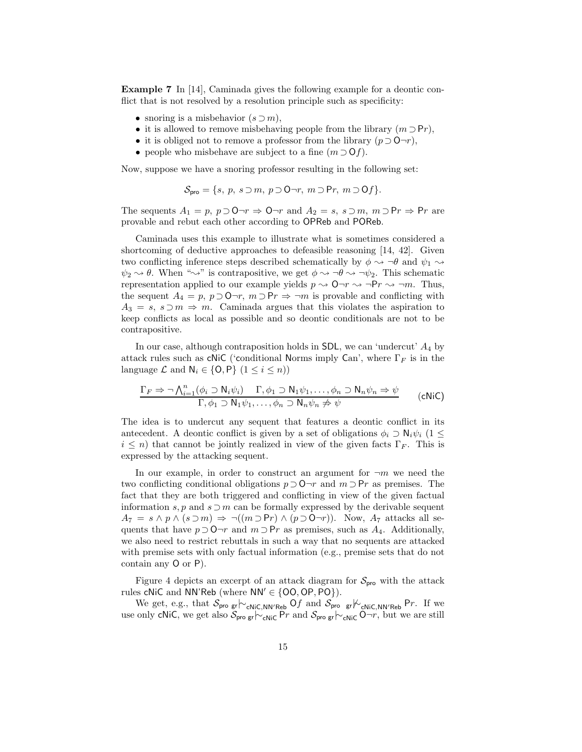Example 7 In [14], Caminada gives the following example for a deontic conflict that is not resolved by a resolution principle such as specificity:

- snoring is a misbehavior  $(s \supset m)$ ,
- it is allowed to remove misbehaving people from the library  $(m \supset Pr)$ ,
- it is obliged not to remove a professor from the library  $(p \supset Q \neg r)$ ,
- people who misbehave are subject to a fine  $(m \supset Of)$ .

Now, suppose we have a snoring professor resulting in the following set:

$$
\mathcal{S}_{\mathsf{pro}} = \{s, p, s \supset m, p \supset \mathsf{O}\neg r, m \supset \mathsf{P}r, m \supset \mathsf{O}f\}.
$$

The sequents  $A_1 = p$ ,  $p \supset \mathbf{0} \neg r \Rightarrow \mathbf{0} \neg r$  and  $A_2 = s$ ,  $s \supset m$ ,  $m \supset \mathbf{P} r \Rightarrow \mathbf{P} r$  are provable and rebut each other according to OPReb and POReb.

Caminada uses this example to illustrate what is sometimes considered a shortcoming of deductive approaches to defeasible reasoning [14, 42]. Given two conflicting inference steps described schematically by  $\phi \rightsquigarrow \neg \theta$  and  $\psi_1 \rightsquigarrow$  $\psi_2 \rightsquigarrow \theta$ . When " $\rightsquigarrow$ " is contrapositive, we get  $\phi \rightsquigarrow \neg \theta \rightsquigarrow \neg \psi_2$ . This schematic representation applied to our example yields  $p \sim 0 \rightarrow r \rightarrow \neg Pr \rightarrow \neg m$ . Thus, the sequent  $A_4 = p$ ,  $p \supset Q \neg r$ ,  $m \supset Pr \Rightarrow \neg m$  is provable and conflicting with  $A_3 = s, s \supset m \Rightarrow m$ . Caminada argues that this violates the aspiration to keep conflicts as local as possible and so deontic conditionals are not to be contrapositive.

In our case, although contraposition holds in  $SDL$ , we can 'undercut'  $A_4$  by attack rules such as cNiC ('conditional Norms imply Can', where  $\Gamma_F$  is in the language  $\mathcal L$  and  $\mathsf{N}_i \in \{0, \mathsf{P}\}\ (1 \leq i \leq n)$ 

$$
\frac{\Gamma_F \Rightarrow \neg \bigwedge_{i=1}^n (\phi_i \supset \mathsf{N}_i \psi_i) \quad \Gamma, \phi_1 \supset \mathsf{N}_1 \psi_1, \dots, \phi_n \supset \mathsf{N}_n \psi_n \Rightarrow \psi}{\Gamma, \phi_1 \supset \mathsf{N}_1 \psi_1, \dots, \phi_n \supset \mathsf{N}_n \psi_n \not\Rightarrow \psi}
$$
 (cNiC)

The idea is to undercut any sequent that features a deontic conflict in its antecedent. A deontic conflict is given by a set of obligations  $\phi_i \supset \mathsf{N}_i \psi_i$  (1 ≤  $i \leq n$ ) that cannot be jointly realized in view of the given facts  $\Gamma_F$ . This is expressed by the attacking sequent.

In our example, in order to construct an argument for  $\neg m$  we need the two conflicting conditional obligations  $p \supset Q \neg r$  and  $m \supset Pr$  as premises. The fact that they are both triggered and conflicting in view of the given factual information s, p and  $s \supset m$  can be formally expressed by the derivable sequent  $A_7 = s \wedge p \wedge (s \supset m) \Rightarrow \neg((m \supset Pr) \wedge (p \supset O \neg r)).$  Now,  $A_7$  attacks all sequents that have  $p \supset \mathbf{O} \neg r$  and  $m \supset \mathbf{P} r$  as premises, such as  $A_4$ . Additionally, we also need to restrict rebuttals in such a way that no sequents are attacked with premise sets with only factual information (e.g., premise sets that do not contain any O or P).

Figure 4 depicts an excerpt of an attack diagram for  $S_{\text{pro}}$  with the attack rules cNiC and NN'Reb (where  $NN' \in \{00, OP, PO\}$ ).

We get, e.g., that  $S_{\text{pro gr}}|_{{\sim_{\text{CNIC,NN/Reb}}}}$  Of and  $S_{\text{pro gr}}|_{{\sim_{\text{CNIC,NN/Reb}}}}$  Pr. If we use only cNiC, we get also  $S_{\text{pro gr}}\sim_{cNiC}Pr$  and  $S_{\text{pro gr}}\sim_{cNiC}O\neg r$ , but we are still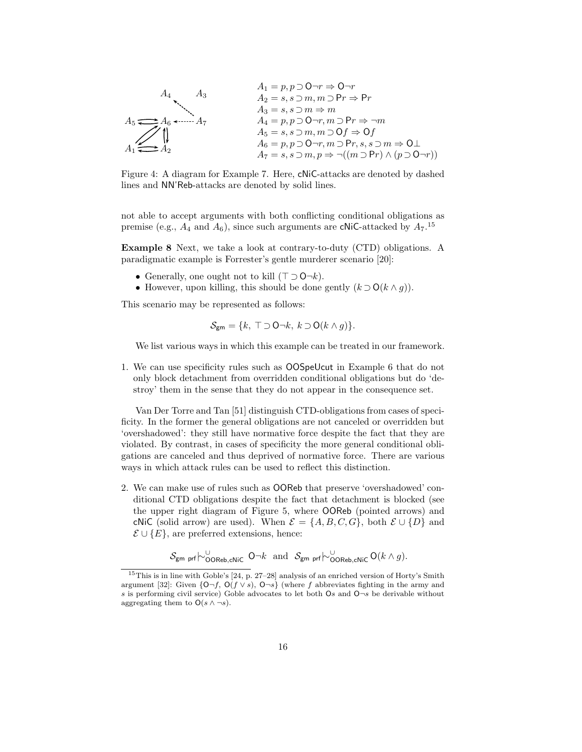$$
A_1 = p, p \supset O \neg r \Rightarrow O \neg r
$$
\n
$$
A_2 = s, s \supset m, m \supset Pr \Rightarrow Pr
$$
\n
$$
A_3 = s, s \supset m \Rightarrow m
$$
\n
$$
A_4 = p, p \supset O \neg r, m \supset Pr \Rightarrow \neg m
$$
\n
$$
A_5 = s, s \supset m, m \supset Of \Rightarrow Of
$$
\n
$$
A_6 = p, p \supset O \neg r, m \supset Pr, s, s \supset m \Rightarrow O \perp
$$
\n
$$
A_7 = s, s \supset m, p \Rightarrow \neg((m \supset Pr) \land (p \supset O \neg r))
$$

Figure 4: A diagram for Example 7. Here, cNiC-attacks are denoted by dashed lines and NN'Reb-attacks are denoted by solid lines.

not able to accept arguments with both conflicting conditional obligations as premise (e.g.,  $A_4$  and  $A_6$ ), since such arguments are cNiC-attacked by  $A_7$ .<sup>15</sup>

Example 8 Next, we take a look at contrary-to-duty (CTD) obligations. A paradigmatic example is Forrester's gentle murderer scenario [20]:

- Generally, one ought not to kill  $(\top \supset \mathsf{O} \neg k)$ .
- However, upon killing, this should be done gently  $(k \supset O(k \wedge g))$ .

This scenario may be represented as follows:

$$
\mathcal{S}_{\text{gm}} = \{k, \top \supset \mathsf{O} \neg k, \, k \supset \mathsf{O}(k \wedge g)\}.
$$

We list various ways in which this example can be treated in our framework.

1. We can use specificity rules such as OOSpeUcut in Example 6 that do not only block detachment from overridden conditional obligations but do 'destroy' them in the sense that they do not appear in the consequence set.

Van Der Torre and Tan [51] distinguish CTD-obligations from cases of specificity. In the former the general obligations are not canceled or overridden but 'overshadowed': they still have normative force despite the fact that they are violated. By contrast, in cases of specificity the more general conditional obligations are canceled and thus deprived of normative force. There are various ways in which attack rules can be used to reflect this distinction.

2. We can make use of rules such as OOReb that preserve 'overshadowed' conditional CTD obligations despite the fact that detachment is blocked (see the upper right diagram of Figure 5, where OOReb (pointed arrows) and cNiC (solid arrow) are used). When  $\mathcal{E} = \{A, B, C, G\}$ , both  $\mathcal{E} \cup \{D\}$  and  $\mathcal{E} \cup \{E\}$ , are preferred extensions, hence:

 $\mathcal{S}_{\text{gm prf}}\sim{\overset{\cup}{\text{OOReb}}}_{\text{COReb},\text{cNiC}}$  O $\neg k$  and  $\mathcal{S}_{\text{gm prf}}\sim{\overset{\cup}{\text{OOReb}}}_{\text{OReb},\text{cNiC}}$  O $(k\wedge g)$ .

<sup>&</sup>lt;sup>15</sup>This is in line with Goble's  $[24, p. 27-28]$  analysis of an enriched version of Horty's Smith argument [32]: Given  $\{O\neg f, O(f\vee s), O\neg s\}$  (where f abbreviates fighting in the army and s is performing civil service) Goble advocates to let both  $\mathsf{O}s$  and  $\mathsf{O}\neg s$  be derivable without aggregating them to  $O(s \wedge \neg s)$ .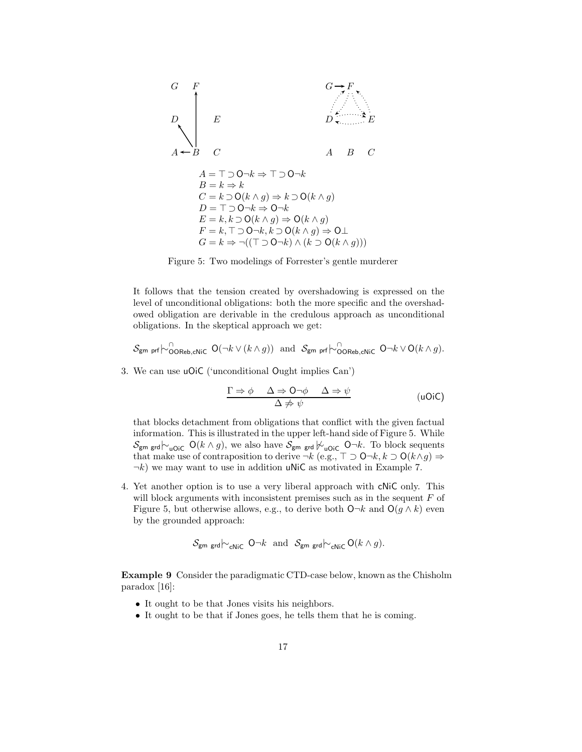

Figure 5: Two modelings of Forrester's gentle murderer

It follows that the tension created by overshadowing is expressed on the level of unconditional obligations: both the more specific and the overshadowed obligation are derivable in the credulous approach as unconditional obligations. In the skeptical approach we get:

$$
\mathcal{S}_{\text{gm prf}} \sim_{\text{OOREb}, \text{cNic}}^{\cap} \mathsf{O}(\neg k \vee (k \wedge g)) \text{ and } \mathcal{S}_{\text{gm prf}} \sim_{\text{OOREb}, \text{cNic}}^{\cap} \mathsf{O} \neg k \vee \mathsf{O}(k \wedge g).
$$

3. We can use uOiC ('unconditional Ought implies Can')

$$
\frac{\Gamma \Rightarrow \phi \quad \Delta \Rightarrow \mathsf{O}\neg\phi \quad \Delta \Rightarrow \psi}{\Delta \not\Rightarrow \psi} \qquad \qquad (\text{uOiC})
$$

that blocks detachment from obligations that conflict with the given factual information. This is illustrated in the upper left-hand side of Figure 5. While  $\mathcal{S}_{\mathsf{gm} \; \mathsf{grd}}\!\!\!\!\sim_{\mathsf{uOiC}}\mathsf{O}(k\wedge g),$  we also have  $\mathcal{S}_{\mathsf{gm} \; \mathsf{grd}}\not\!\!\!\sim_{\mathsf{uOiC}}\mathsf{O}\neg k.$  To block sequents that make use of contraposition to derive  $\neg k$  (e.g.,  $\top \supset \mathsf{O}\neg k, k \supset \mathsf{O}(k \wedge g) \Rightarrow$  $\neg k$ ) we may want to use in addition uNiC as motivated in Example 7.

4. Yet another option is to use a very liberal approach with cNiC only. This will block arguments with inconsistent premises such as in the sequent  $F$  of Figure 5, but otherwise allows, e.g., to derive both  $\mathsf{O}\neg k$  and  $\mathsf{O}(g \wedge k)$  even by the grounded approach:

$$
\mathcal{S}_{\mathsf{gm\ grad}}\sim_{\mathsf{cNIC}} \mathsf{O}\neg k \text{ and } \mathcal{S}_{\mathsf{gm\ grad}}\sim_{\mathsf{cNIC}} \mathsf{O}(k\wedge g).
$$

Example 9 Consider the paradigmatic CTD-case below, known as the Chisholm paradox [16]:

- It ought to be that Jones visits his neighbors.
- It ought to be that if Jones goes, he tells them that he is coming.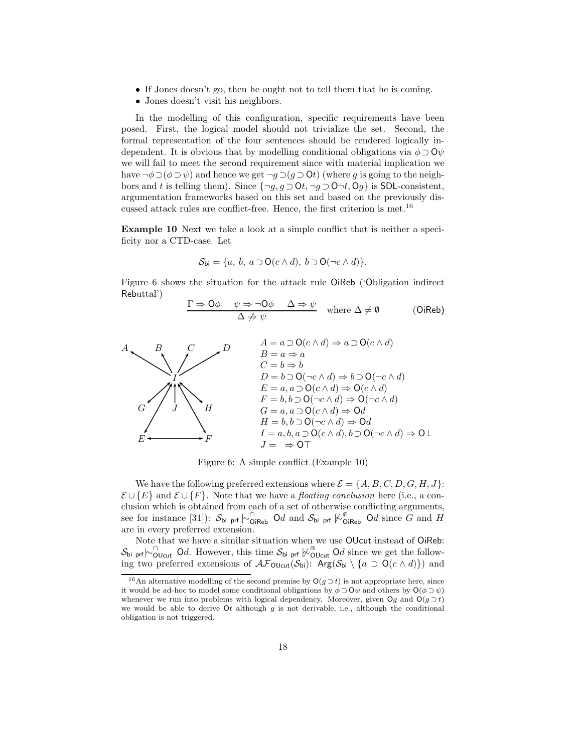- If Jones doesn't go, then he ought not to tell them that he is coming.
- Jones doesn't visit his neighbors.

In the modelling of this configuration, specific requirements have been posed. First, the logical model should not trivialize the set. Second, the formal representation of the four sentences should be rendered logically independent. It is obvious that by modelling conditional obligations via  $\phi \supset Q\psi$ we will fail to meet the second requirement since with material implication we have  $\neg \phi \supset (\phi \supset \psi)$  and hence we get  $\neg g \supset (g \supset \mathbf{0}t)$  (where g is going to the neighbors and t is telling them). Since  $\{\neg g, g \supset \mathsf{O}t, \neg g \supset \mathsf{O}t, \neg g \supset \mathsf{O}t$  is SDL-consistent, argumentation frameworks based on this set and based on the previously discussed attack rules are conflict-free. Hence, the first criterion is met.<sup>16</sup>

Example 10 Next we take a look at a simple conflict that is neither a specificity nor a CTD-case. Let

$$
\mathcal{S}_{\mathsf{bi}} = \{a, b, a \supset \mathsf{O}(c \wedge d), b \supset \mathsf{O}(\neg c \wedge d)\}.
$$

Figure 6 shows the situation for the attack rule OiReb ('Obligation indirect Rebuttal')

$$
\frac{\Gamma \Rightarrow \mathsf{O}\phi \quad \psi \Rightarrow \neg \mathsf{O}\phi \quad \Delta \Rightarrow \psi}{\Delta \not\Rightarrow \psi} \quad \text{where } \Delta \neq \emptyset \tag{OiReb}
$$



Figure 6: A simple conflict (Example 10)

We have the following preferred extensions where  $\mathcal{E} = \{A, B, C, D, G, H, J\}$ :  $\mathcal{E} \cup \{E\}$  and  $\mathcal{E} \cup \{F\}$ . Note that we have a *floating conclusion* here (i.e., a conclusion which is obtained from each of a set of otherwise conflicting arguments, see for instance [31]):  $S_{\text{bi}}$  prf  $\sim$ <sub>OiReb</sub> Od and  $S_{\text{bi}}$  prf  $\sim$ <sub>OiReb</sub> Od since G and H are in every preferred extension.

Note that we have a similar situation when we use OUcut instead of OiReb:  $\mathcal{S}_{\text{bi prf}}\sim_{\text{OUcut}}^{\cap}$  Od. However, this time  $\mathcal{S}_{\text{bi prf}}\not\sim_{\text{OUcut}}^{\cap}$  Od since we get the following two preferred extensions of  $\mathcal{AF}_{\text{OUcut}}(\mathcal{S}_{\text{bi}})$ :  $\text{Arg}(\mathcal{S}_{\text{bi}} \setminus \{a \supset \text{O}(c \wedge d)\})$  and

<sup>&</sup>lt;sup>16</sup>An alternative modelling of the second premise by  $O(g \supset t)$  is not appropriate here, since it would be ad-hoc to model some conditional obligations by  $\phi \supset \mathbf{0}\psi$  and others by  $\mathbf{O}(\phi \supset \psi)$ whenever we run into problems with logical dependency. Moreover, given  $Oq$  and  $O(q \supset t)$ we would be able to derive  $\mathsf{O}t$  although g is not derivable, i.e., although the conditional obligation is not triggered.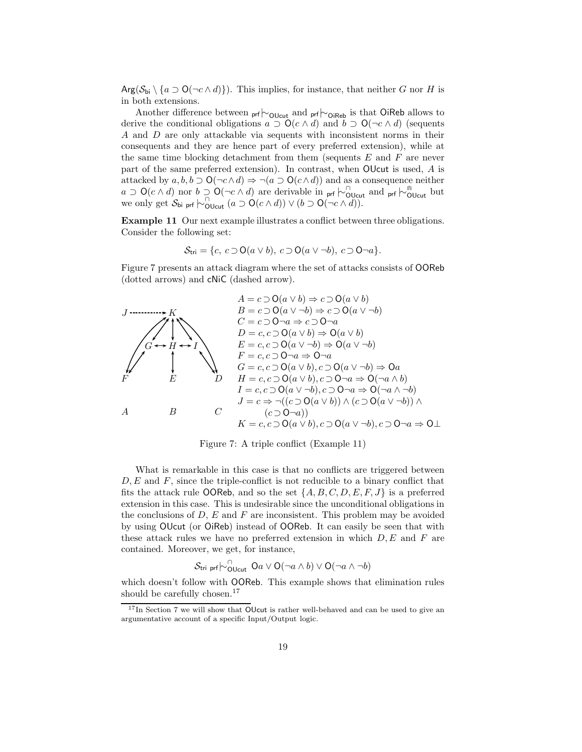$Arg(\mathcal{S}_{bi} \setminus \{a \supset O(\neg c \wedge d)\})$ . This implies, for instance, that neither G nor H is in both extensions.

Another difference between <sub>prf</sub> $\vdash_{\text{OUcut}}$  and <sub>prf</sub> $\vdash_{\text{OiReb}}$  is that OiReb allows to derive the conditional obligations  $a \supset O(c \wedge d)$  and  $b \supset O(\neg c \wedge d)$  (sequents A and D are only attackable via sequents with inconsistent norms in their consequents and they are hence part of every preferred extension), while at the same time blocking detachment from them (sequents  $E$  and  $F$  are never part of the same preferred extension). In contrast, when OUcut is used, A is attacked by  $a, b, b \supset \mathsf{O}(\neg c \land d) \Rightarrow \neg(a \supset \mathsf{O}(c \land d))$  and as a consequence neither  $a \supset O(c \wedge d)$  nor  $b \supset O(-c \wedge d)$  are derivable in prf  $\vdash_{\text{OUcut}}^{\cap}$  and prf  $\vdash_{\text{OUcut}}^{\cap}$  but we only get  $S_{\text{bi prf}} \sim_{\text{Olcut}}^{\cap} (a \supset \text{O}(c \wedge d)) \vee (b \supset \text{O}(\neg c \wedge d)).$ 

Example 11 Our next example illustrates a conflict between three obligations. Consider the following set:

$$
\mathcal{S}_{\text{tri}} = \{c, c \supset O(a \vee b), c \supset O(a \vee \neg b), c \supset O \neg a\}.
$$

Figure 7 presents an attack diagram where the set of attacks consists of OOReb (dotted arrows) and cNiC (dashed arrow).



Figure 7: A triple conflict (Example 11)

What is remarkable in this case is that no conflicts are triggered between  $D, E$  and  $F$ , since the triple-conflict is not reducible to a binary conflict that fits the attack rule OOReb, and so the set  $\{A, B, C, D, E, F, J\}$  is a preferred extension in this case. This is undesirable since the unconditional obligations in the conclusions of  $D$ ,  $E$  and  $F$  are inconsistent. This problem may be avoided by using OUcut (or OiReb) instead of OOReb. It can easily be seen that with these attack rules we have no preferred extension in which  $D, E$  and  $F$  are contained. Moreover, we get, for instance,

$$
\mathcal{S}_{\mathsf{tri} \ \mathsf{prf}}{\hspace{0.025cm}{\hspace{0.025cm}}}\mathsf{I}_{\mathsf{OUCut}}^{\cap} \ \mathsf{O} a \lor \mathsf{O}(\neg a \land b) \lor \mathsf{O}(\neg a \land \neg b)
$$

which doesn't follow with OOReb. This example shows that elimination rules should be carefully chosen.<sup>17</sup>

<sup>&</sup>lt;sup>17</sup>In Section 7 we will show that OUcut is rather well-behaved and can be used to give an argumentative account of a specific Input/Output logic.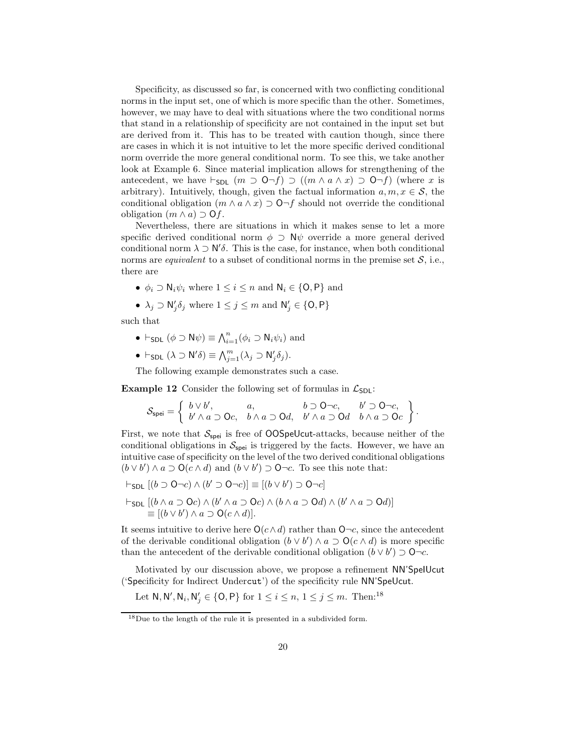Specificity, as discussed so far, is concerned with two conflicting conditional norms in the input set, one of which is more specific than the other. Sometimes, however, we may have to deal with situations where the two conditional norms that stand in a relationship of specificity are not contained in the input set but are derived from it. This has to be treated with caution though, since there are cases in which it is not intuitive to let the more specific derived conditional norm override the more general conditional norm. To see this, we take another look at Example 6. Since material implication allows for strengthening of the antecedent, we have  $\vdash_{SDL} (m \supset \mathsf{O}\neg f) \supset ((m \wedge a \wedge x) \supset \mathsf{O}\neg f)$  (where x is arbitrary). Intuitively, though, given the factual information  $a, m, x \in S$ , the conditional obligation  $(m \wedge a \wedge x) \supset \mathsf{O}\neg f$  should not override the conditional obligation  $(m \wedge a) \supset \mathsf{O} f$ .

Nevertheless, there are situations in which it makes sense to let a more specific derived conditional norm  $\phi \supset \mathsf{N}\psi$  override a more general derived conditional norm  $\lambda \supset \mathsf{N}'\delta$ . This is the case, for instance, when both conditional norms are *equivalent* to a subset of conditional norms in the premise set  $S$ , i.e., there are

- $\phi_i \supset \mathsf{N}_i \psi_i$  where  $1 \leq i \leq n$  and  $\mathsf{N}_i \in \{\mathsf{O},\mathsf{P}\}\$  and
- $\lambda_j \supset \mathsf{N}'_j \delta_j$  where  $1 \leq j \leq m$  and  $\mathsf{N}'_j \in \{\mathsf{O},\mathsf{P}\}\$

such that

- $\vdash_{SDL} (\phi \supset \mathsf{N}\psi) \equiv \bigwedge_{i=1}^{n} (\phi_i \supset \mathsf{N}_i \psi_i)$  and
- $\vdash_{\sf SDL} (\lambda \supset \mathsf{N}'\delta) \equiv \bigwedge_{j=1}^m (\lambda_j \supset \mathsf{N}'_j\delta_j).$

The following example demonstrates such a case.

**Example 12** Consider the following set of formulas in  $\mathcal{L}_{SDI}$ :

$$
\mathcal{S}_{\mathsf{spei}} = \left\{\begin{array}{ll}b \vee b', & a, & b \supset \mathsf{O}\neg c, & b' \supset \mathsf{O}\neg c, \\b' \wedge a \supset \mathsf{O}c, & b \wedge a \supset \mathsf{O}d, & b' \wedge a \supset \mathsf{O}d & b \wedge a \supset \mathsf{O}c\end{array}\right\}.
$$

First, we note that  $S_{\text{spei}}$  is free of OOSpeUcut-attacks, because neither of the conditional obligations in  $S_{\text{spei}}$  is triggered by the facts. However, we have an intuitive case of specificity on the level of the two derived conditional obligations  $(b \vee b') \wedge a \supset O(c \wedge d)$  and  $(b \vee b') \supset O\neg c$ . To see this note that:

- $\vdash_{\mathsf{SDL}} [(b \supset \mathsf{O}\neg c) \wedge (b' \supset \mathsf{O}\neg c)] \equiv [(b \vee b') \supset \mathsf{O}\neg c]$
- $\vdash_{\sf SDL}[(b\land a\supset\sf{O}c)\land(b'\land a\supset\sf{O}c)\land(b\land a\supset\sf{O}d)\land(b'\land a\supset\sf{O}d)]$  $\equiv [(b \vee b') \wedge a \supset O(c \wedge d)].$

It seems intuitive to derive here  $O(c \wedge d)$  rather than O $\neg c$ , since the antecedent of the derivable conditional obligation  $(b \vee b') \wedge a \supset O(c \wedge d)$  is more specific than the antecedent of the derivable conditional obligation  $(b \vee b') \supset \mathsf{O}\neg c$ .

Motivated by our discussion above, we propose a refinement NN'SpeIUcut ('Specificity for Indirect Undercut') of the specificity rule NN'SpeUcut.

Let  $\mathsf{N}, \mathsf{N}', \mathsf{N}_i, \mathsf{N}'_j \in \{\mathsf{O},\mathsf{P}\}$  for  $1 \leq i \leq n, 1 \leq j \leq m$ . Then:<sup>18</sup>

<sup>18</sup>Due to the length of the rule it is presented in a subdivided form.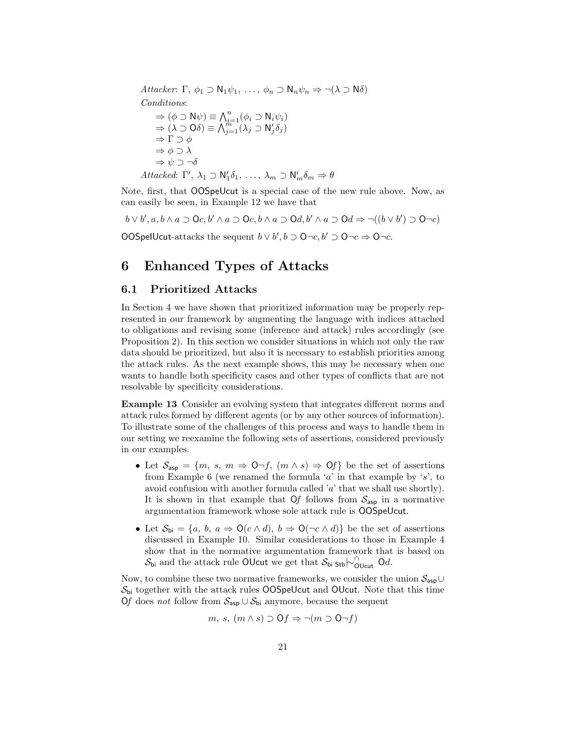Attacker: Γ,  $\phi_1 \supset \mathsf{N}_1 \psi_1, \ldots, \phi_n \supset \mathsf{N}_n \psi_n \Rightarrow \neg(\lambda \supset \mathsf{N} \delta)$ Conditions:  $\Rightarrow (\phi \supset \mathsf{N}\psi) \equiv \bigwedge_{i=1}^n (\phi_i \supset \mathsf{N}_i \psi_i)$  $\Rightarrow (\lambda \supset O\delta) \equiv \bigwedge_{j=1}^{m-1} (\lambda_j \supset N'_j \delta_j)$  $\Rightarrow$  Γ  $\supset$   $\phi$  $\Rightarrow \phi \supset \lambda$  $\Rightarrow \psi \supset \neg \delta$ 

$$
Attacked: \Gamma', \lambda_1 \supset \mathsf{N}'_1 \delta_1, \ldots, \lambda_m \supset \mathsf{N}'_m \delta_m \Rightarrow \theta
$$

Note, first, that OOSpeUcut is a special case of the new rule above. Now, as can easily be seen, in Example 12 we have that

 $b \vee b', a, b \wedge a \supset$  Oc,  $b' \wedge a \supset$  Oc,  $b \wedge a \supset$  Od,  $b' \wedge a \supset$  Od  $\Rightarrow \neg((b \vee b') \supset$  O $\neg c)$ 

OOSpelUcut-attacks the sequent  $b \lor b', b \supset \mathsf{O}\neg c, b' \supset \mathsf{O}\neg c \Rightarrow \mathsf{O}\neg c$ .

## 6 Enhanced Types of Attacks

#### 6.1 Prioritized Attacks

In Section 4 we have shown that prioritized information may be properly represented in our framework by augmenting the language with indices attached to obligations and revising some (inference and attack) rules accordingly (see Proposition 2). In this section we consider situations in which not only the raw data should be prioritized, but also it is necessary to establish priorities among the attack rules. As the next example shows, this may be necessary when one wants to handle both specificity cases and other types of conflicts that are not resolvable by specificity considerations.

Example 13 Consider an evolving system that integrates different norms and attack rules formed by different agents (or by any other sources of information). To illustrate some of the challenges of this process and ways to handle them in our setting we reexamine the following sets of assertions, considered previously in our examples.

- Let  $S_{\text{asp}} = \{m, s, m \Rightarrow 0 \neg f, (m \wedge s) \Rightarrow 0 \neg f\}$  be the set of assertions from Example 6 (we renamed the formula 'a' in that example by 's', to avoid confusion with another formula called 'a' that we shall use shortly). It is shown in that example that Of follows from  $S_{\text{asp}}$  in a normative argumentation framework whose sole attack rule is OOSpeUcut.
- Let  $S_{bi} = \{a, b, a \Rightarrow O(c \wedge d), b \Rightarrow O(\neg c \wedge d)\}\$ be the set of assertions discussed in Example 10. Similar considerations to those in Example 4 show that in the normative argumentation framework that is based on  $\mathcal{S}_{\mathsf{bi}}$  and the attack rule OUcut we get that  $\mathcal{S}_{\mathsf{bi}}$  stb $\sim^\cap_{\mathsf{OUcut}}$  Od.

Now, to combine these two normative frameworks, we consider the union  $S_{\text{asp}}\cup$  $S_{\rm bi}$  together with the attack rules OOSpeUcut and OUcut. Note that this time Of does *not* follow from  $S_{\text{asp}} \cup S_{\text{bi}}$  anymore, because the sequent

$$
m, s, (m \wedge s) \supset \mathsf{O}f \Rightarrow \neg(m \supset \mathsf{O}\neg f)
$$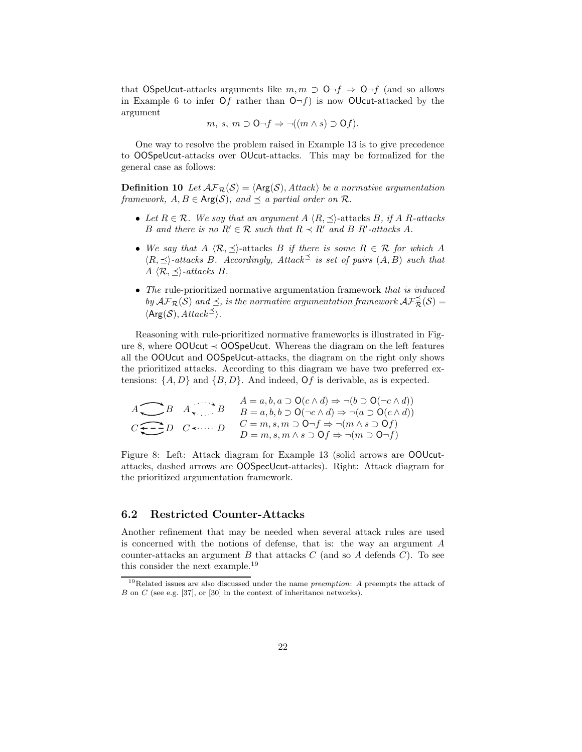that OSpeUcut-attacks arguments like  $m, m \supset O \neg f \Rightarrow O \neg f$  (and so allows in Example 6 to infer Of rather than  $\mathsf{O}\neg f$  is now OUcut-attacked by the argument

$$
m, s, m \supset \mathsf{O}\neg f \Rightarrow \neg((m \land s) \supset \mathsf{O}f).
$$

One way to resolve the problem raised in Example 13 is to give precedence to OOSpeUcut-attacks over OUcut-attacks. This may be formalized for the general case as follows:

**Definition 10** Let  $\mathcal{AF}_{\mathcal{R}}(\mathcal{S}) = \langle \mathsf{Arg}(\mathcal{S}), \mathit{Attack} \rangle$  be a normative argumentation framework,  $A, B \in \text{Arg}(\mathcal{S})$ , and  $\preceq$  a partial order on  $\mathcal{R}$ .

- Let  $R \in \mathcal{R}$ . We say that an argument  $A \langle R, \preceq \rangle$ -attacks B, if A R-attacks B and there is no  $R' \in \mathcal{R}$  such that  $R \prec R'$  and B  $R'$ -attacks A.
- We say that  $A \langle \mathcal{R}, \preceq \rangle$ -attacks B if there is some  $R \in \mathcal{R}$  for which A  $\langle R, \preceq \rangle$ -attacks B. Accordingly, Attack is set of pairs  $(A, B)$  such that  $A \langle \mathcal{R}, \preceq \rangle$ -attacks B.
- The rule-prioritized normative argumentation framework that is induced by  $\mathcal{AF}_{\mathcal{R}}(\mathcal{S})$  and  $\preceq$ , is the normative argumentation framework  $\mathcal{AF}_{\mathcal{R}}^{\preceq}(\mathcal{S}) =$  $\langle \mathsf{Arg}(\mathcal{S}), \mathit{Attack}^{\preceq} \rangle.$

Reasoning with rule-prioritized normative frameworks is illustrated in Figure 8, where  $OQUcut \prec OOS$  peut. Whereas the diagram on the left features all the OOUcut and OOSpeUcut-attacks, the diagram on the right only shows the prioritized attacks. According to this diagram we have two preferred extensions:  $\{A, D\}$  and  $\{B, D\}$ . And indeed, Of is derivable, as is expected.

$$
A \longrightarrow B \quad A \longrightarrow B \quad B = a, b, a \supset O(c \land d) \Rightarrow \neg(b \supset O(\neg c \land d))
$$
  

$$
C \longrightarrow D \quad C \longleftarrow D \quad C \longleftarrow D \quad D \quad B = m, s, m \supset O \neg f \Rightarrow \neg(m \land s \supset Of)
$$
  

$$
D = m, s, m \land s \supset Of \Rightarrow \neg(m \supset O \neg f)
$$

Figure 8: Left: Attack diagram for Example 13 (solid arrows are OOUcutattacks, dashed arrows are OOSpecUcut-attacks). Right: Attack diagram for the prioritized argumentation framework.

#### 6.2 Restricted Counter-Attacks

Another refinement that may be needed when several attack rules are used is concerned with the notions of defense, that is: the way an argument A counter-attacks an argument B that attacks  $C$  (and so A defends  $C$ ). To see this consider the next example.<sup>19</sup>

<sup>&</sup>lt;sup>19</sup>Related issues are also discussed under the name *preemption*: A preempts the attack of B on C (see e.g. [37], or [30] in the context of inheritance networks).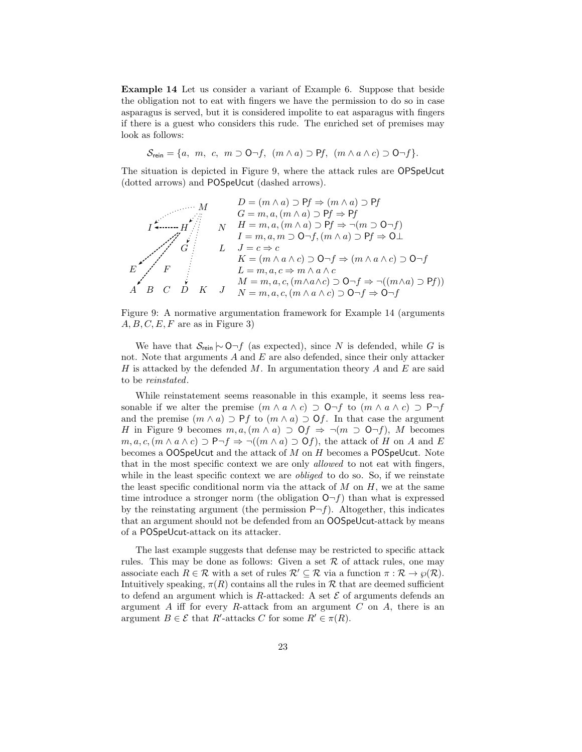Example 14 Let us consider a variant of Example 6. Suppose that beside the obligation not to eat with fingers we have the permission to do so in case asparagus is served, but it is considered impolite to eat asparagus with fingers if there is a guest who considers this rude. The enriched set of premises may look as follows:

 $\mathcal{S}_{\text{rein}} = \{a, m, c, m \supset \mathsf{O}\neg f, (m \wedge a) \supset \mathsf{P}f, (m \wedge a \wedge c) \supset \mathsf{O}\neg f\}.$ 

The situation is depicted in Figure 9, where the attack rules are OPSpeUcut (dotted arrows) and POSpeUcut (dashed arrows).

$$
M \n\begin{array}{c}\n\begin{array}{c}\nD = (m \land a) \supset Pf \Rightarrow (m \land a) \supset Pf \\
G = m, a, (m \land a) \supset Pf \Rightarrow Pf \\
\hline\n\end{array} \\
\begin{array}{c}\n\begin{array}{c}\n\begin{array}{c}\n\begin{array}{c}\n\end{array}\n\end{array}\n\end{array} & N \n\end{array} & H = m, a, (m \land a) \supset Pf \Rightarrow \neg(m \supset O \neg f) \\
I = m, a, m \supset O \neg f, (m \land a) \supset Pf \Rightarrow O \perp\n\end{array} \\
\begin{array}{c}\nE \nearrow F \\
\hline\n\end{array} & L \n\end{array} & L \n\begin{array}{c}\nJ = c \Rightarrow c \\
K = (m \land a \land c) \supset O \neg f \Rightarrow (m \land a \land c) \supset O \neg f \\
L = m, a, c \Rightarrow m \land a \land c \\
\hline\n\end{array} & \begin{array}{c}\n\end{array}\n\end{array} & \begin{array}{c}\n\end{array}\n\end{array} & \begin{array}{c}\n\end{array}\n\end{array} & \begin{array}{c}\n\end{array}\n\end{array} & \begin{array}{c}\n\end{array}\n\end{array} & \begin{array}{c}\n\end{array}\n\end{array} & \begin{array}{c}\n\end{array}\n\end{array} & \begin{array}{c}\n\end{array} & \begin{array}{c}\n\end{array} & \begin{array}{c}\n\end{array} & \begin{array}{c}\n\end{array} & \begin{array}{c}\n\end{array} & \begin{array}{c}\n\end{array} & \begin{array}{c}\n\end{array} & \begin{array}{c}\n\end{array} & \begin{array}{c}\n\end{array} & \begin{array}{c}\n\end{array} & \begin{array}{c}\n\end{array} & \begin{array}{c}\n\end{array} & \begin{array}{c}\n\end{array} & \begin{array}{c}\n\end{array} & \begin{array}{c}\n\end{array} & \begin{array}{c}\n\end{array} & \begin{array}{c}\n\end{array} & \begin{array}{c}\n\end{array} & \begin{array}{c}\n\end{array} & \begin{array}{c}\n\end{array} & \begin{array}{c}\n\end{array} & \begin{array}{c}\n\
$$

Figure 9: A normative argumentation framework for Example 14 (arguments  $A, B, C, E, F$  are as in Figure 3)

We have that  $S_{\text{rein}} \sim \text{O}\neg f$  (as expected), since N is defended, while G is not. Note that arguments  $A$  and  $E$  are also defended, since their only attacker H is attacked by the defended M. In argumentation theory A and E are said to be reinstated.

While reinstatement seems reasonable in this example, it seems less reasonable if we alter the premise  $(m \wedge a \wedge c) \supset \mathsf{O}\neg f$  to  $(m \wedge a \wedge c) \supset \mathsf{P}\neg f$ and the premise  $(m \wedge a) \supset Pf$  to  $(m \wedge a) \supset Of$ . In that case the argument H in Figure 9 becomes  $m, a, (m \wedge a) \supset \mathsf{O}f \Rightarrow \neg(m \supset \mathsf{O}\neg f), M$  becomes  $m, a, c, (m \wedge a \wedge c) \supset P \neg f \Rightarrow \neg((m \wedge a) \supset Of)$ , the attack of H on A and E becomes a  $OOS$ peUcut and the attack of  $M$  on  $H$  becomes a POSpeUcut. Note that in the most specific context we are only allowed to not eat with fingers, while in the least specific context we are *obliged* to do so. So, if we reinstate the least specific conditional norm via the attack of  $M$  on  $H$ , we at the same time introduce a stronger norm (the obligation  $\mathsf{O}\neg f$ ) than what is expressed by the reinstating argument (the permission  $P\neg f$ ). Altogether, this indicates that an argument should not be defended from an OOSpeUcut-attack by means of a POSpeUcut-attack on its attacker.

The last example suggests that defense may be restricted to specific attack rules. This may be done as follows: Given a set  $\mathcal R$  of attack rules, one may associate each  $R \in \mathcal{R}$  with a set of rules  $\mathcal{R}' \subseteq \mathcal{R}$  via a function  $\pi : \mathcal{R} \to \wp(\mathcal{R})$ . Intuitively speaking,  $\pi(R)$  contains all the rules in R that are deemed sufficient to defend an argument which is R-attacked: A set  $\mathcal E$  of arguments defends an argument  $A$  iff for every  $R$ -attack from an argument  $C$  on  $A$ , there is an argument  $B \in \mathcal{E}$  that R'-attacks C for some  $R' \in \pi(R)$ .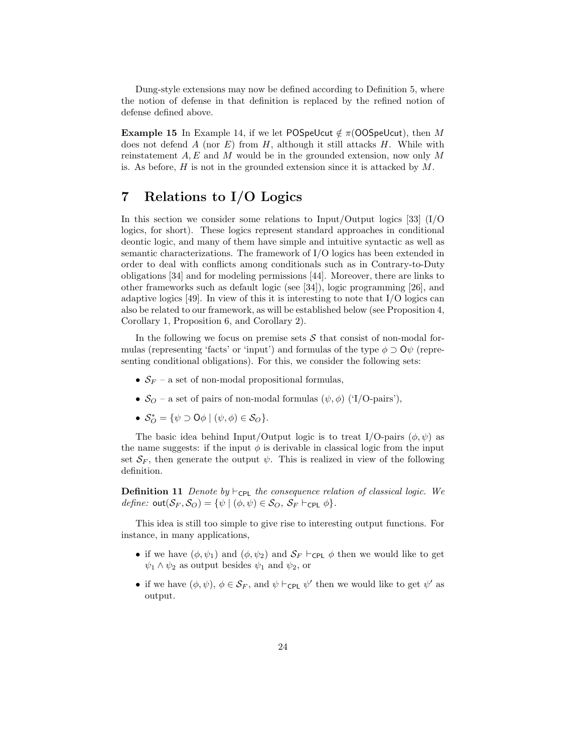Dung-style extensions may now be defined according to Definition 5, where the notion of defense in that definition is replaced by the refined notion of defense defined above.

**Example 15** In Example 14, if we let POSpeUcut  $\notin \pi$ (OOSpeUcut), then M does not defend A (nor E) from H, although it still attacks H. While with reinstatement  $A, E$  and M would be in the grounded extension, now only M is. As before,  $H$  is not in the grounded extension since it is attacked by  $M$ .

## 7 Relations to I/O Logics

In this section we consider some relations to Input/Output logics [33] (I/O logics, for short). These logics represent standard approaches in conditional deontic logic, and many of them have simple and intuitive syntactic as well as semantic characterizations. The framework of I/O logics has been extended in order to deal with conflicts among conditionals such as in Contrary-to-Duty obligations [34] and for modeling permissions [44]. Moreover, there are links to other frameworks such as default logic (see [34]), logic programming [26], and adaptive logics [49]. In view of this it is interesting to note that  $I/O$  logics can also be related to our framework, as will be established below (see Proposition 4, Corollary 1, Proposition 6, and Corollary 2).

In the following we focus on premise sets  $\mathcal S$  that consist of non-modal formulas (representing 'facts' or 'input') and formulas of the type  $\phi \supset Q\psi$  (representing conditional obligations). For this, we consider the following sets:

- $S_F$  a set of non-modal propositional formulas,
- $S_O$  a set of pairs of non-modal formulas  $(\psi, \phi)$  ('I/O-pairs'),
- $S_O^* = \{ \psi \supset \mathsf{O} \phi \mid (\psi, \phi) \in S_O \}.$

The basic idea behind Input/Output logic is to treat I/O-pairs  $(\phi, \psi)$  as the name suggests: if the input  $\phi$  is derivable in classical logic from the input set  $S_F$ , then generate the output  $\psi$ . This is realized in view of the following definition.

**Definition 11** Denote by ⊢<sub>CPL</sub> the consequence relation of classical logic. We define:  $\text{out}(\mathcal{S}_F, \mathcal{S}_O) = \{ \psi \mid (\phi, \psi) \in \mathcal{S}_O, \mathcal{S}_F \vdash_{\text{CPL}} \phi \}.$ 

This idea is still too simple to give rise to interesting output functions. For instance, in many applications,

- if we have  $(\phi, \psi_1)$  and  $(\phi, \psi_2)$  and  $S_F \vdash_{\text{CPL}} \phi$  then we would like to get  $\psi_1 \wedge \psi_2$  as output besides  $\psi_1$  and  $\psi_2$ , or
- if we have  $(\phi, \psi), \phi \in \mathcal{S}_F$ , and  $\psi \vdash_{\mathsf{CPL}} \psi'$  then we would like to get  $\psi'$  as output.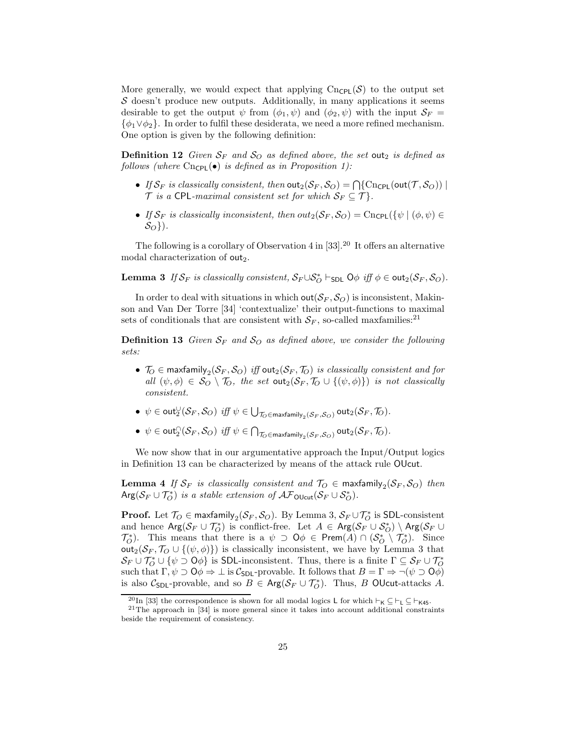More generally, we would expect that applying  $\text{Cn}_{\text{CPL}}(\mathcal{S})$  to the output set  $S$  doesn't produce new outputs. Additionally, in many applications it seems desirable to get the output  $\psi$  from  $(\phi_1, \psi)$  and  $(\phi_2, \psi)$  with the input  $\mathcal{S}_F$  $\{\phi_1 \vee \phi_2\}$ . In order to fulfil these desiderata, we need a more refined mechanism. One option is given by the following definition:

**Definition 12** Given  $S_F$  and  $S_O$  as defined above, the set out<sub>2</sub> is defined as follows (where  $\text{Cn}_{\text{CPL}}(\bullet)$  is defined as in Proposition 1):

- If  $\mathcal{S}_F$  is classically consistent, then  $\textsf{out}_2(\mathcal{S}_F,\mathcal{S}_O) = \bigcap \{\textsf{Cncpl}(\textsf{out}(\mathcal{T},\mathcal{S}_O))\mid$  $\mathcal T$  is a CPL-maximal consistent set for which  $\mathcal S_F \subseteq \mathcal T$ .
- If  $S_F$  is classically inconsistent, then  $out_2(S_F, S_O) = \text{Cncpl}(\{\psi \mid (\phi, \psi) \in$  $S_O$ }).

The following is a corollary of Observation 4 in [33].<sup>20</sup> It offers an alternative modal characterization of out<sub>2</sub>.

**Lemma 3** If  $S_F$  is classically consistent,  $S_F \cup S_O^*$   $\vdash$  spl.  $\bigcirc \phi$  iff  $\phi \in \text{out}_2(S_F, \mathcal{S}_O)$ .

In order to deal with situations in which out  $(S_F, S_O)$  is inconsistent, Makinson and Van Der Torre [34] 'contextualize' their output-functions to maximal sets of conditionals that are consistent with  $S_F$ , so-called maxfamilies:<sup>21</sup>

**Definition 13** Given  $S_F$  and  $S_O$  as defined above, we consider the following sets:

- $\bullet \;\; \mathcal{T}_O \in \mathsf{maxfamily}_2(\mathcal{S}_F, \mathcal{S}_O) \;\, \mathit{iff} \; \mathsf{out}_2(\mathcal{S}_F, \mathcal{T}_O) \;\, \mathit{is \;\, classically \;\,consistent \;\,and \;\,for}$ all  $(\psi, \phi) \in S_O \setminus T_O$ , the set out<sub>2</sub> $(S_F, T_O \cup \{(\psi, \phi)\})$  is not classically consistent.
- $\bullet \ \ \psi \in \mathsf{out}^{\cup}_2(\mathcal{S}_F, \mathcal{S}_O) \ \ \textit{iff} \ \ \psi \in \bigcup_{\mathcal{T}_O \in \mathsf{maxfamily}_2(\mathcal{S}_F, \mathcal{S}_O)} \mathsf{out}_2(\mathcal{S}_F, \mathcal{T}_O).$
- $\bullet \ \ \psi \in \mathsf{out}^\cap_2(\mathcal{S}_F,\mathcal{S}_O) \ \ \textit{iff} \ \ \psi \in \bigcap_{\mathcal{T}_O \in \mathsf{maxfamily}_2(\mathcal{S}_F,\mathcal{S}_O)} \mathsf{out}_2(\mathcal{S}_F,\mathcal{T}_O).$

We now show that in our argumentative approach the Input/Output logics in Definition 13 can be characterized by means of the attack rule OUcut.

 ${\bf Lemma}$  4 If  $\mathcal{S}_F$  is classically consistent and  $\mathcal{T}_O\in\mathsf{maxfamily}_2(\mathcal{S}_F,\mathcal{S}_O)$  then  $\text{Arg}(\mathcal{S}_F \cup \mathcal{T}_O^*)$  is a stable extension of  $\mathcal{AF}_{\text{OUcut}}(\mathcal{S}_F \cup \mathcal{S}_O^*)$ .

**Proof.** Let  $\mathcal{T}_O \in \text{maxfamily}_2(\mathcal{S}_F, \mathcal{S}_O)$ . By Lemma 3,  $\mathcal{S}_F \cup \mathcal{T}_O^*$  is SDL-consistent and hence  $\mathsf{Arg}(\mathcal{S}_F\cup\mathcal{T}_O^*)$  is conflict-free. Let  $A\in\mathsf{Arg}(\mathcal{S}_F\cup\mathcal{S}_O^*)\setminus\mathsf{Arg}(\mathcal{S}_F\cup\mathcal{T}_O^*)$  $\mathcal{T}_{\mathcal{O}}^*$ ). This means that there is a  $\psi \supset \mathsf{O}\phi \in \mathsf{Prem}(A) \cap (\mathcal{S}_{\mathcal{O}}^* \setminus \mathcal{T}_{\mathcal{O}}^*)$ . Since out<sub>2</sub>( $S_F$ ,  $\mathcal{T}_O \cup \{(\psi, \phi)\}\$ ) is classically inconsistent, we have by Lemma 3 that  $S_F \cup \mathcal{T}^*_O \cup \{\psi \supset \mathsf{O}\phi\}$  is SDL-inconsistent. Thus, there is a finite  $\Gamma \subseteq S_F \cup \mathcal{T}^*_O$ such that  $\Gamma, \psi \supset \mathsf{O}\phi \Rightarrow \bot$  is  $\mathcal{C}_{\mathsf{SDL}}$ -provable. It follows that  $B = \Gamma \Rightarrow \neg(\psi \supset \mathsf{O}\phi)$ is also  $C_{SDL}$ -provable, and so  $B \in \text{Arg}(\mathcal{S}_F \cup \mathcal{T}_O^*)$ . Thus, B OUcut-attacks A.

<sup>&</sup>lt;sup>20</sup>In [33] the correspondence is shown for all modal logics L for which ⊢<sub>K</sub> ⊆ ⊢<sub>K45</sub>.

 $21$ The approach in [34] is more general since it takes into account additional constraints beside the requirement of consistency.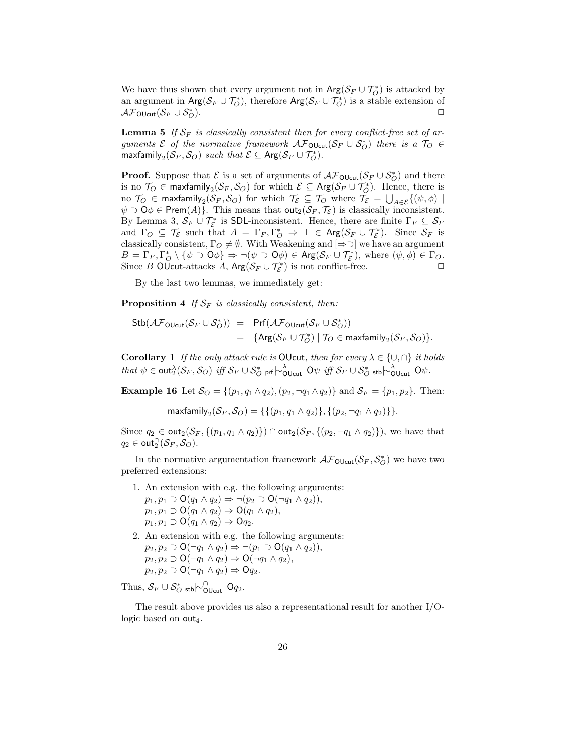We have thus shown that every argument not in  $\text{Arg}(\mathcal{S}_F \cup \mathcal{T}_O^*)$  is attacked by an argument in  $\text{Arg}(\mathcal{S}_F \cup \mathcal{T}_O^*)$ , therefore  $\text{Arg}(\mathcal{S}_F \cup \mathcal{T}_O^*)$  is a stable extension of  $\mathcal{AF}_{\text{OUcut}}(\mathcal{S}_F \cup \mathcal{S}_O^*)$ .  $\bigcirc$ .

**Lemma 5** If  $S_F$  is classically consistent then for every conflict-free set of arguments  $\mathcal E$  of the normative framework  $\mathcal A\mathcal F_{\mathsf{OUcut}}(\mathcal S_F\cup \mathcal S^*_O)$  there is a  $\mathcal T_O\in$ maxfamily $_2(\mathcal{S}_F, \mathcal{S}_O)$  such that  $\mathcal{E} \subseteq \mathsf{Arg}(\mathcal{S}_F \cup \mathcal{T}_O^*)$ .

**Proof.** Suppose that  $\mathcal{E}$  is a set of arguments of  $\mathcal{AF}_{\text{OUcut}}(\mathcal{S}_F \cup \mathcal{S}_O^*)$  and there is no  $\mathcal{T}_O \in \mathsf{maxfamily}_2(\mathcal{S}_F, \mathcal{S}_O)$  for which  $\mathcal{E} \subseteq \mathsf{Arg}(\mathcal{S}_F \cup \mathcal{T}_O^*)$ . Hence, there is no  $\mathcal{T}_O\,\in\,$  maxfamily $_2(\mathcal{S}_F,\mathcal{S}_O)$  for which  $\mathcal{T}_\mathcal{E}\,\subseteq\,\mathcal{T}_O$  where  $\mathcal{T}_\mathcal{E}=\bigcup_{A\in\mathcal{E}}\{(\psi,\phi)\mid$  $\psi \supset \mathsf{O}\phi \in \mathsf{Prem}(A)$ . This means that  $\mathsf{out}_2(\mathcal{S}_F, \mathcal{T}_{\mathcal{E}})$  is classically inconsistent. By Lemma 3,  $S_F \cup \mathcal{T}_{\mathcal{E}}^*$  is SDL-inconsistent. Hence, there are finite  $\Gamma_F \subseteq S_F$ and  $\Gamma_O \subseteq \mathcal{T}_{\mathcal{E}}$  such that  $A = \Gamma_F, \Gamma_O^* \Rightarrow \bot \in \text{Arg}(\mathcal{S}_F \cup \mathcal{T}_{\mathcal{E}}^*)$ . Since  $\mathcal{S}_F$  is classically consistent,  $\Gamma_O \neq \emptyset$ . With Weakening and  $[\Rightarrow \supset]$  we have an argument  $B = \Gamma_F, \Gamma_O^* \setminus {\psi \supset \mathsf{O} \phi} \Rightarrow \neg(\psi \supset \mathsf{O} \phi) \in \mathsf{Arg}(\mathcal{S}_F \cup \mathcal{T}_{\mathcal{E}}^*), \text{ where } (\psi, \phi) \in \Gamma_O.$ Since B OUcut-attacks A,  $Arg(S_F \cup T^*_{\mathcal{E}})$  is not conflict-free.

By the last two lemmas, we immediately get:

**Proposition 4** If  $S_F$  is classically consistent, then:

$$
\begin{array}{lcl} \mathsf{Stb}(\mathcal{AF}_{\mathsf{OUcut}}(\mathcal{S}_F\cup \mathcal{S}_O^*)) & = & \mathsf{Prf}(\mathcal{AF}_{\mathsf{OUcut}}(\mathcal{S}_F\cup \mathcal{S}_O^*)) \\ \\ & = & \{ \mathsf{Arg}(\mathcal{S}_F\cup \mathcal{T}_O^*) \mid \mathcal{T}_O \in \mathsf{maxfamily}_2(\mathcal{S}_F, \mathcal{S}_O) \}. \end{array}
$$

**Corollary 1** If the only attack rule is OUcut, then for every  $\lambda \in \{\cup, \cap\}$  it holds that  $\psi \in \text{out}_2^{\lambda}(\mathcal{S}_F, \mathcal{S}_O)$  iff  $\mathcal{S}_F \cup \mathcal{S}_O^*$  prf $\ket{\sim_{\text{Olcut}}^{\lambda}}$  O $\psi$  iff  $\mathcal{S}_F \cup \mathcal{S}_O^*$  stb $\ket{\sim_{\text{Olcut}}^{\lambda}}$  O $\psi$ .

**Example 16** Let  $S_O = \{(p_1, q_1 \wedge q_2), (p_2, \neg q_1 \wedge q_2)\}\$  and  $S_F = \{p_1, p_2\}$ . Then:

maxfamily $_2(S_F, \mathcal{S}_O) = \{ \{ (p_1, q_1 \wedge q_2) \}, \{ (p_2, \neg q_1 \wedge q_2) \} \}.$ 

Since  $q_2 \in \text{out}_2(\mathcal{S}_F, \{(p_1, q_1 \wedge q_2)\}) \cap \text{out}_2(\mathcal{S}_F, \{(p_2, \neg q_1 \wedge q_2)\})$ , we have that  $q_2 \in \mathsf{out}_2^{\cap}(\mathcal{S}_F, \mathcal{S}_O).$ 

In the normative argumentation framework  $\mathcal{AF}_{\text{OUcut}}(\mathcal{S}_F, \mathcal{S}_O^*)$  we have two preferred extensions:

- 1. An extension with e.g. the following arguments:  $p_1, p_1 \supset O(q_1 \wedge q_2) \Rightarrow \neg (p_2 \supset O(\neg q_1 \wedge q_2)),$  $p_1, p_1 \supset O(q_1 \wedge q_2) \Rightarrow O(q_1 \wedge q_2),$  $p_1, p_1 \supset O(q_1 \wedge q_2) \Rightarrow Oq_2.$
- 2. An extension with e.g. the following arguments:  $p_2, p_2 \supset \mathsf{O}(\neg q_1 \land q_2) \Rightarrow \neg (p_1 \supset \mathsf{O}(q_1 \land q_2)),$  $p_2, p_2 \supset O(\neg q_1 \land q_2) \Rightarrow O(\neg q_1 \land q_2),$  $p_2, p_2 \supset O(\neg q_1 \land q_2) \Rightarrow Oq_2.$

Thus,  $S_F \cup S^*_{O}$  stb $\sim_{\text{OUcut}}^{\cap}$  Oq<sub>2</sub>.

The result above provides us also a representational result for another I/Ologic based on  $\textsf{out}_4$ .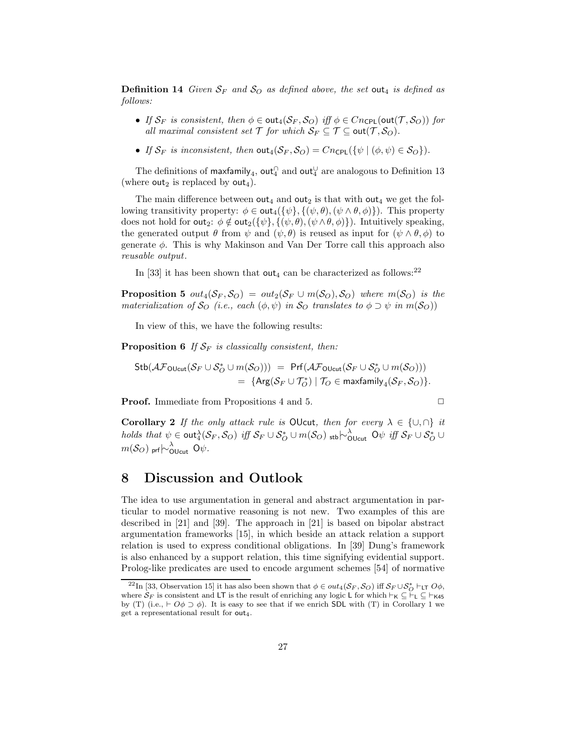**Definition 14** Given  $S_F$  and  $S_O$  as defined above, the set out<sub>4</sub> is defined as follows:

- If  $S_F$  is consistent, then  $\phi \in \text{out}_4(S_F, S_O)$  iff  $\phi \in Cn_{\text{CPL}}(\text{out}(\mathcal{T}, S_O))$  for all maximal consistent set  $\mathcal T$  for which  $\mathcal S_F \subseteq \mathcal T \subseteq \text{out}(\mathcal T, \mathcal S_O)$ .
- If  $S_F$  is inconsistent, then  $\text{out}_4(S_F, S_O) = C n_{\text{CPL}}(\{\psi \mid (\phi, \psi) \in S_O\}).$

The definitions of maxfamily<sub>4</sub>,  $\mathsf{out}_{4}^\cap$  and  $\mathsf{out}_{4}^\cup$  are analogous to Definition 13 (where out<sub>2</sub> is replaced by out<sub>4</sub>).

The main difference between out<sub>4</sub> and out<sub>2</sub> is that with out<sub>4</sub> we get the following transitivity property:  $\phi \in \text{out}_4(\{\psi\}, \{(\psi, \theta), (\psi \wedge \theta, \phi)\})$ . This property does not hold for out<sub>2</sub>:  $\phi \notin \text{out}_2(\{\psi\}, \{(\psi, \theta), (\psi \wedge \theta, \phi)\})$ . Intuitively speaking, the generated output  $\theta$  from  $\psi$  and  $(\psi, \theta)$  is reused as input for  $(\psi \wedge \theta, \phi)$  to generate  $\phi$ . This is why Makinson and Van Der Torre call this approach also reusable output.

In [33] it has been shown that out<sub>4</sub> can be characterized as follows:<sup>22</sup>

**Proposition 5**  $out_4(\mathcal{S}_F, \mathcal{S}_O) = out_2(\mathcal{S}_F \cup m(\mathcal{S}_O), \mathcal{S}_O)$  where  $m(\mathcal{S}_O)$  is the materialization of  $\mathcal{S}_O$  (i.e., each  $(\phi, \psi)$  in  $\mathcal{S}_O$  translates to  $\phi \supset \psi$  in  $m(\mathcal{S}_O)$ )

In view of this, we have the following results:

**Proposition 6** If  $S_F$  is classically consistent, then:

$$
\begin{align}\n\text{Stb}(\mathcal{AF}_{\text{OUcut}}(\mathcal{S}_F \cup \mathcal{S}_{O}^* \cup m(\mathcal{S}_{O}))) &= \text{Prf}(\mathcal{AF}_{\text{OUcut}}(\mathcal{S}_F \cup \mathcal{S}_{O}^* \cup m(\mathcal{S}_{O}))) \\
&= \{ \text{Arg}(\mathcal{S}_F \cup \mathcal{T}_{O}^*) \mid \mathcal{T}_{O} \in \text{maxfamily}_{4}(\mathcal{S}_F, \mathcal{S}_{O}) \}.\n\end{align}
$$

**Proof.** Immediate from Propositions 4 and 5. □

Corollary 2 If the only attack rule is OUcut, then for every  $\lambda \in \{\cup, \cap\}$  it  $holds\ that\ \psi\in \mathsf{out}_{4}^{\lambda}(\mathcal{S}_F,\mathcal{S}_O)\ \mathit{iff}\ \mathcal{S}_F\cup\mathcal{S}_O^*\cup m(\mathcal{S}_O)\ \mathtt{_{stb}}\sim_{\mathsf{OUcut}}^\lambda\mathsf{O}\psi\ \mathit{iff}\ \mathcal{S}_F\cup\mathcal{S}_O^*\cup\mathsf{O}\psi\ \mathit{iff}\ \mathcal{S}_F\cup\mathcal{S}_O^*\cup\mathsf{O}\psi\ \mathit{iff}\ \mathcal{S}_F\cup\mathcal{S}_O^*\cup\mathsf{O}\psi\ \mathit{iff}\ \mathcal{S}_F\cup\mathcal{S}_O^$  $m(\mathcal{S}_{O})$  prf $\overline{\hspace{-0.04cm}\sim_{\text{OUcut}}\hspace{-0.04cm}}$   $\text{O}\psi.$ 

#### 8 Discussion and Outlook

The idea to use argumentation in general and abstract argumentation in particular to model normative reasoning is not new. Two examples of this are described in [21] and [39]. The approach in [21] is based on bipolar abstract argumentation frameworks [15], in which beside an attack relation a support relation is used to express conditional obligations. In [39] Dung's framework is also enhanced by a support relation, this time signifying evidential support. Prolog-like predicates are used to encode argument schemes [54] of normative

<sup>&</sup>lt;sup>22</sup>In [33, Observation 15] it has also been shown that  $\phi \in out_4(\mathcal{S}_F, \mathcal{S}_O)$  iff  $\mathcal{S}_F \cup \mathcal{S}_O^* \vdash_{LT} O\phi$ , where  $S_F$  is consistent and LT is the result of enriching any logic L for which  $\vdash_K \subseteq \vdash_L \subseteq \vdash_{K45}$ by (T) (i.e.,  $\vdash$   $O\phi \supset \phi$ ). It is easy to see that if we enrich SDL with (T) in Corollary 1 we get a representational result for  $out_4$ .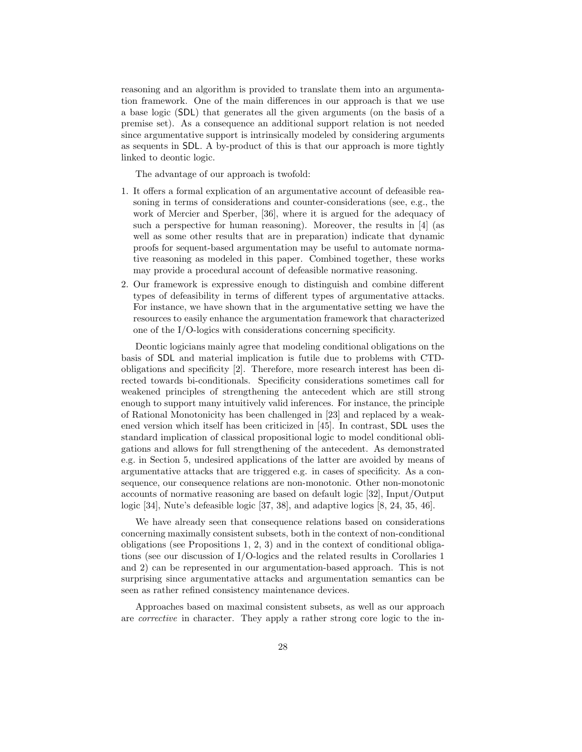reasoning and an algorithm is provided to translate them into an argumentation framework. One of the main differences in our approach is that we use a base logic (SDL) that generates all the given arguments (on the basis of a premise set). As a consequence an additional support relation is not needed since argumentative support is intrinsically modeled by considering arguments as sequents in SDL. A by-product of this is that our approach is more tightly linked to deontic logic.

The advantage of our approach is twofold:

- 1. It offers a formal explication of an argumentative account of defeasible reasoning in terms of considerations and counter-considerations (see, e.g., the work of Mercier and Sperber, [36], where it is argued for the adequacy of such a perspective for human reasoning). Moreover, the results in [4] (as well as some other results that are in preparation) indicate that dynamic proofs for sequent-based argumentation may be useful to automate normative reasoning as modeled in this paper. Combined together, these works may provide a procedural account of defeasible normative reasoning.
- 2. Our framework is expressive enough to distinguish and combine different types of defeasibility in terms of different types of argumentative attacks. For instance, we have shown that in the argumentative setting we have the resources to easily enhance the argumentation framework that characterized one of the I/O-logics with considerations concerning specificity.

Deontic logicians mainly agree that modeling conditional obligations on the basis of SDL and material implication is futile due to problems with CTDobligations and specificity [2]. Therefore, more research interest has been directed towards bi-conditionals. Specificity considerations sometimes call for weakened principles of strengthening the antecedent which are still strong enough to support many intuitively valid inferences. For instance, the principle of Rational Monotonicity has been challenged in [23] and replaced by a weakened version which itself has been criticized in [45]. In contrast, SDL uses the standard implication of classical propositional logic to model conditional obligations and allows for full strengthening of the antecedent. As demonstrated e.g. in Section 5, undesired applications of the latter are avoided by means of argumentative attacks that are triggered e.g. in cases of specificity. As a consequence, our consequence relations are non-monotonic. Other non-monotonic accounts of normative reasoning are based on default logic [32], Input/Output logic [34], Nute's defeasible logic [37, 38], and adaptive logics [8, 24, 35, 46].

We have already seen that consequence relations based on considerations concerning maximally consistent subsets, both in the context of non-conditional obligations (see Propositions 1, 2, 3) and in the context of conditional obligations (see our discussion of I/O-logics and the related results in Corollaries 1 and 2) can be represented in our argumentation-based approach. This is not surprising since argumentative attacks and argumentation semantics can be seen as rather refined consistency maintenance devices.

Approaches based on maximal consistent subsets, as well as our approach are corrective in character. They apply a rather strong core logic to the in-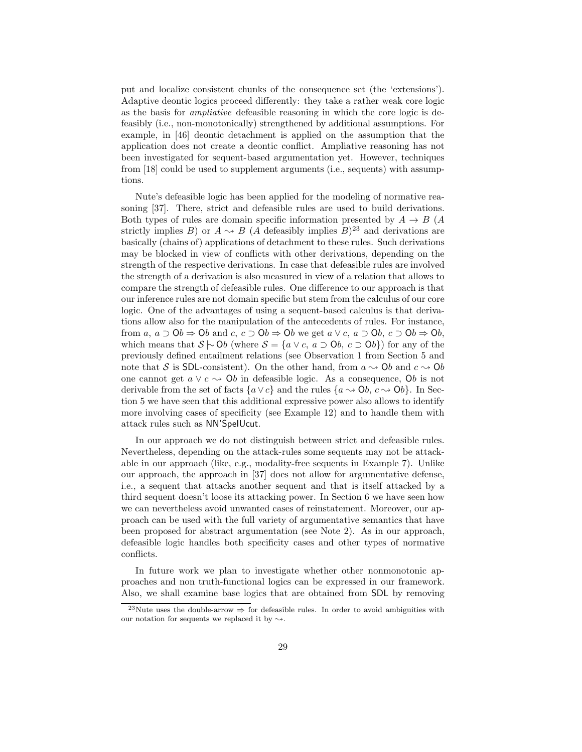put and localize consistent chunks of the consequence set (the 'extensions'). Adaptive deontic logics proceed differently: they take a rather weak core logic as the basis for ampliative defeasible reasoning in which the core logic is defeasibly (i.e., non-monotonically) strengthened by additional assumptions. For example, in [46] deontic detachment is applied on the assumption that the application does not create a deontic conflict. Ampliative reasoning has not been investigated for sequent-based argumentation yet. However, techniques from [18] could be used to supplement arguments (i.e., sequents) with assumptions.

Nute's defeasible logic has been applied for the modeling of normative reasoning [37]. There, strict and defeasible rules are used to build derivations. Both types of rules are domain specific information presented by  $A \rightarrow B$  (A strictly implies B) or  $A \rightarrow B$  (A defeasibly implies B)<sup>23</sup> and derivations are basically (chains of) applications of detachment to these rules. Such derivations may be blocked in view of conflicts with other derivations, depending on the strength of the respective derivations. In case that defeasible rules are involved the strength of a derivation is also measured in view of a relation that allows to compare the strength of defeasible rules. One difference to our approach is that our inference rules are not domain specific but stem from the calculus of our core logic. One of the advantages of using a sequent-based calculus is that derivations allow also for the manipulation of the antecedents of rules. For instance, from a,  $a \supset 0$ b  $\Rightarrow$  Ob and c,  $c \supset 0$ b  $\Rightarrow$  Ob we get  $a \vee c$ ,  $a \supset 0$ b,  $c \supset 0$ b  $\Rightarrow 0$ b, which means that  $S \sim \text{Ob}$  (where  $S = \{a \lor c, a \supset 0, c \supset 0\}$ ) for any of the previously defined entailment relations (see Observation 1 from Section 5 and note that S is SDL-consistent). On the other hand, from  $a \rightarrow 0b$  and  $c \rightarrow 0b$ one cannot get  $a \vee c \rightarrow 0$  in defeasible logic. As a consequence,  $0b$  is not derivable from the set of facts  $\{a \vee c\}$  and the rules  $\{a \leadsto \mathsf{O}b, c \leadsto \mathsf{O}b\}$ . In Section 5 we have seen that this additional expressive power also allows to identify more involving cases of specificity (see Example 12) and to handle them with attack rules such as NN'SpeIUcut.

In our approach we do not distinguish between strict and defeasible rules. Nevertheless, depending on the attack-rules some sequents may not be attackable in our approach (like, e.g., modality-free sequents in Example 7). Unlike our approach, the approach in [37] does not allow for argumentative defense, i.e., a sequent that attacks another sequent and that is itself attacked by a third sequent doesn't loose its attacking power. In Section 6 we have seen how we can nevertheless avoid unwanted cases of reinstatement. Moreover, our approach can be used with the full variety of argumentative semantics that have been proposed for abstract argumentation (see Note 2). As in our approach, defeasible logic handles both specificity cases and other types of normative conflicts.

In future work we plan to investigate whether other nonmonotonic approaches and non truth-functional logics can be expressed in our framework. Also, we shall examine base logics that are obtained from SDL by removing

<sup>&</sup>lt;sup>23</sup>Nute uses the double-arrow  $\Rightarrow$  for defeasible rules. In order to avoid ambiguities with our notation for sequents we replaced it by  $\sim$ .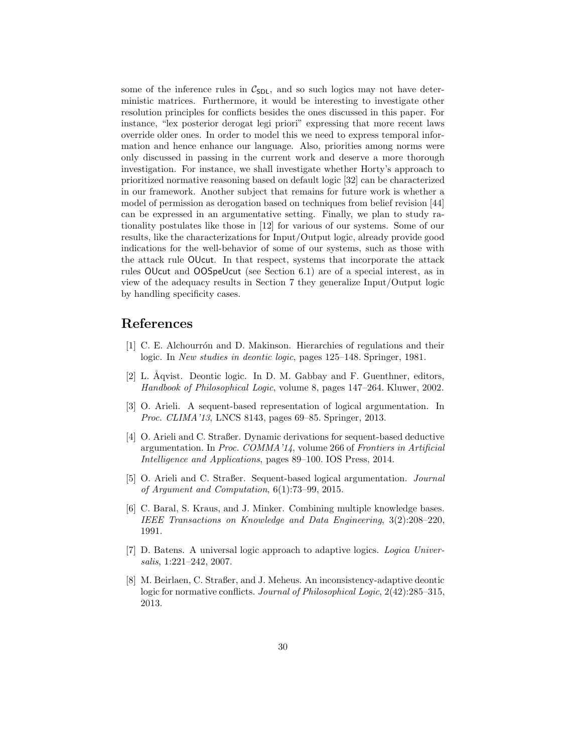some of the inference rules in  $C_{SDL}$ , and so such logics may not have deterministic matrices. Furthermore, it would be interesting to investigate other resolution principles for conflicts besides the ones discussed in this paper. For instance, "lex posterior derogat legi priori" expressing that more recent laws override older ones. In order to model this we need to express temporal information and hence enhance our language. Also, priorities among norms were only discussed in passing in the current work and deserve a more thorough investigation. For instance, we shall investigate whether Horty's approach to prioritized normative reasoning based on default logic [32] can be characterized in our framework. Another subject that remains for future work is whether a model of permission as derogation based on techniques from belief revision [44] can be expressed in an argumentative setting. Finally, we plan to study rationality postulates like those in [12] for various of our systems. Some of our results, like the characterizations for Input/Output logic, already provide good indications for the well-behavior of some of our systems, such as those with the attack rule OUcut. In that respect, systems that incorporate the attack rules OUcut and OOSpeUcut (see Section 6.1) are of a special interest, as in view of the adequacy results in Section 7 they generalize Input/Output logic by handling specificity cases.

#### References

- [1] C. E. Alchourrón and D. Makinson. Hierarchies of regulations and their logic. In New studies in deontic logic, pages 125–148. Springer, 1981.
- [2] L.  $\AA$ qvist. Deontic logic. In D. M. Gabbay and F. Guenthner, editors, Handbook of Philosophical Logic, volume 8, pages 147–264. Kluwer, 2002.
- [3] O. Arieli. A sequent-based representation of logical argumentation. In Proc. CLIMA'13, LNCS 8143, pages 69–85. Springer, 2013.
- [4] O. Arieli and C. Straßer. Dynamic derivations for sequent-based deductive argumentation. In Proc. COMMA'14, volume 266 of Frontiers in Artificial Intelligence and Applications, pages 89–100. IOS Press, 2014.
- [5] O. Arieli and C. Straßer. Sequent-based logical argumentation. Journal of Argument and Computation, 6(1):73–99, 2015.
- [6] C. Baral, S. Kraus, and J. Minker. Combining multiple knowledge bases. IEEE Transactions on Knowledge and Data Engineering, 3(2):208–220, 1991.
- [7] D. Batens. A universal logic approach to adaptive logics. Logica Universalis, 1:221–242, 2007.
- [8] M. Beirlaen, C. Straßer, and J. Meheus. An inconsistency-adaptive deontic logic for normative conflicts. Journal of Philosophical Logic, 2(42):285–315, 2013.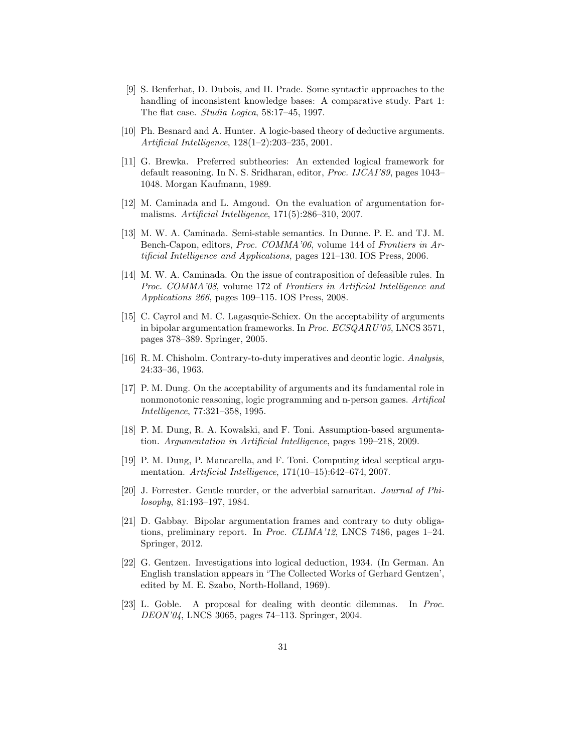- [9] S. Benferhat, D. Dubois, and H. Prade. Some syntactic approaches to the handling of inconsistent knowledge bases: A comparative study. Part 1: The flat case. Studia Logica, 58:17–45, 1997.
- [10] Ph. Besnard and A. Hunter. A logic-based theory of deductive arguments. Artificial Intelligence, 128(1–2):203–235, 2001.
- [11] G. Brewka. Preferred subtheories: An extended logical framework for default reasoning. In N. S. Sridharan, editor, Proc. IJCAI'89, pages 1043– 1048. Morgan Kaufmann, 1989.
- [12] M. Caminada and L. Amgoud. On the evaluation of argumentation formalisms. Artificial Intelligence, 171(5):286–310, 2007.
- [13] M. W. A. Caminada. Semi-stable semantics. In Dunne. P. E. and TJ. M. Bench-Capon, editors, Proc. COMMA'06, volume 144 of Frontiers in Artificial Intelligence and Applications, pages 121–130. IOS Press, 2006.
- [14] M. W. A. Caminada. On the issue of contraposition of defeasible rules. In Proc. COMMA'08, volume 172 of Frontiers in Artificial Intelligence and Applications 266, pages 109–115. IOS Press, 2008.
- [15] C. Cayrol and M. C. Lagasquie-Schiex. On the acceptability of arguments in bipolar argumentation frameworks. In Proc. ECSQARU'05, LNCS 3571, pages 378–389. Springer, 2005.
- [16] R. M. Chisholm. Contrary-to-duty imperatives and deontic logic. Analysis, 24:33–36, 1963.
- [17] P. M. Dung. On the acceptability of arguments and its fundamental role in nonmonotonic reasoning, logic programming and n-person games. Artifical Intelligence, 77:321–358, 1995.
- [18] P. M. Dung, R. A. Kowalski, and F. Toni. Assumption-based argumentation. Argumentation in Artificial Intelligence, pages 199–218, 2009.
- [19] P. M. Dung, P. Mancarella, and F. Toni. Computing ideal sceptical argumentation. Artificial Intelligence, 171(10–15):642–674, 2007.
- [20] J. Forrester. Gentle murder, or the adverbial samaritan. *Journal of Phi*losophy, 81:193–197, 1984.
- [21] D. Gabbay. Bipolar argumentation frames and contrary to duty obligations, preliminary report. In Proc. CLIMA'12, LNCS 7486, pages 1–24. Springer, 2012.
- [22] G. Gentzen. Investigations into logical deduction, 1934. (In German. An English translation appears in 'The Collected Works of Gerhard Gentzen', edited by M. E. Szabo, North-Holland, 1969).
- [23] L. Goble. A proposal for dealing with deontic dilemmas. In Proc. DEON'04, LNCS 3065, pages 74–113. Springer, 2004.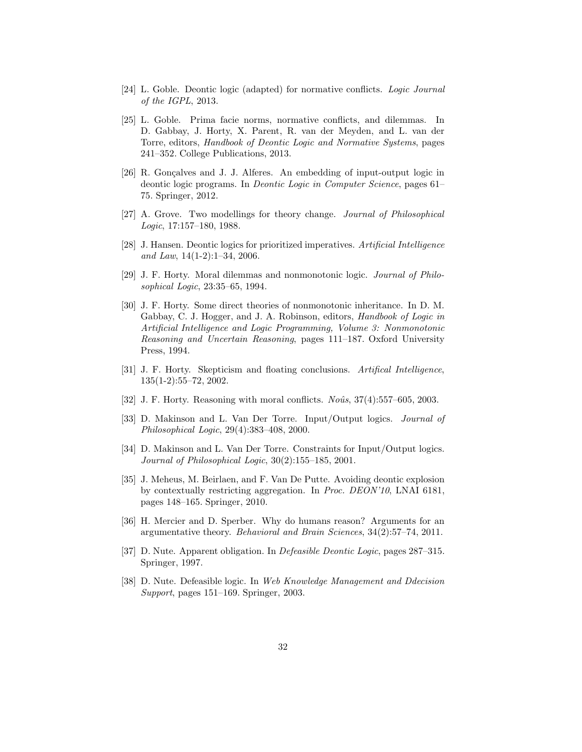- [24] L. Goble. Deontic logic (adapted) for normative conflicts. Logic Journal of the IGPL, 2013.
- [25] L. Goble. Prima facie norms, normative conflicts, and dilemmas. In D. Gabbay, J. Horty, X. Parent, R. van der Meyden, and L. van der Torre, editors, Handbook of Deontic Logic and Normative Systems, pages 241–352. College Publications, 2013.
- [26] R. Gonçalves and J. J. Alferes. An embedding of input-output logic in deontic logic programs. In Deontic Logic in Computer Science, pages 61– 75. Springer, 2012.
- [27] A. Grove. Two modellings for theory change. Journal of Philosophical Logic, 17:157–180, 1988.
- [28] J. Hansen. Deontic logics for prioritized imperatives. Artificial Intelligence and Law, 14(1-2):1–34, 2006.
- [29] J. F. Horty. Moral dilemmas and nonmonotonic logic. Journal of Philosophical Logic, 23:35–65, 1994.
- [30] J. F. Horty. Some direct theories of nonmonotonic inheritance. In D. M. Gabbay, C. J. Hogger, and J. A. Robinson, editors, Handbook of Logic in Artificial Intelligence and Logic Programming, Volume 3: Nonmonotonic Reasoning and Uncertain Reasoning, pages 111–187. Oxford University Press, 1994.
- [31] J. F. Horty. Skepticism and floating conclusions. Artifical Intelligence, 135(1-2):55–72, 2002.
- [32] J. F. Horty. Reasoning with moral conflicts.  $No\hat{u}$ s, 37(4):557–605, 2003.
- [33] D. Makinson and L. Van Der Torre. Input/Output logics. Journal of Philosophical Logic, 29(4):383–408, 2000.
- [34] D. Makinson and L. Van Der Torre. Constraints for Input/Output logics. Journal of Philosophical Logic, 30(2):155–185, 2001.
- [35] J. Meheus, M. Beirlaen, and F. Van De Putte. Avoiding deontic explosion by contextually restricting aggregation. In Proc. DEON'10, LNAI 6181, pages 148–165. Springer, 2010.
- [36] H. Mercier and D. Sperber. Why do humans reason? Arguments for an argumentative theory. Behavioral and Brain Sciences, 34(2):57–74, 2011.
- [37] D. Nute. Apparent obligation. In Defeasible Deontic Logic, pages 287–315. Springer, 1997.
- [38] D. Nute. Defeasible logic. In Web Knowledge Management and Ddecision Support, pages 151–169. Springer, 2003.